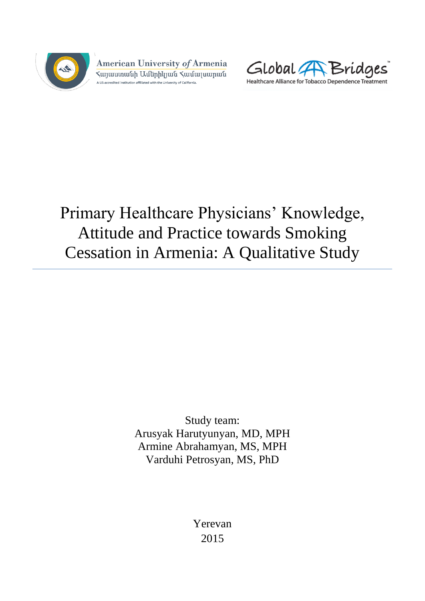

American University of Armenia ≺այաստանի Ամերիկյան ≺ամալսարան A US-accredited institution affiliated with the University of California.



# Primary Healthcare Physicians' Knowledge, Attitude and Practice towards Smoking Cessation in Armenia: A Qualitative Study

Study team: Arusyak Harutyunyan, MD, MPH Armine Abrahamyan, MS, MPH Varduhi Petrosyan, MS, PhD

> Yerevan 2015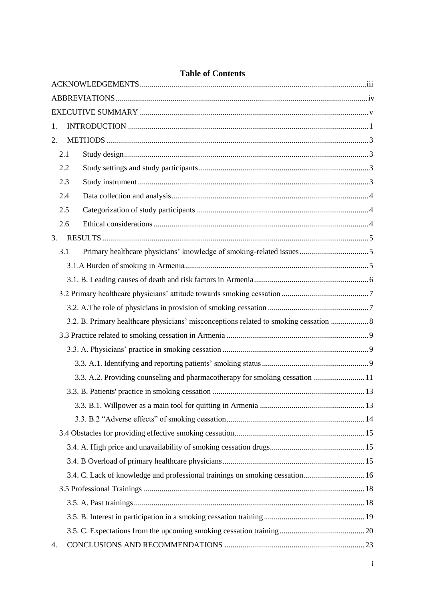| 1. |     |                                                                                    |  |  |
|----|-----|------------------------------------------------------------------------------------|--|--|
| 2. |     |                                                                                    |  |  |
|    | 2.1 |                                                                                    |  |  |
|    | 2.2 |                                                                                    |  |  |
|    | 2.3 |                                                                                    |  |  |
|    | 2.4 |                                                                                    |  |  |
|    | 2.5 |                                                                                    |  |  |
|    | 2.6 |                                                                                    |  |  |
| 3. |     |                                                                                    |  |  |
|    | 3.1 |                                                                                    |  |  |
|    |     |                                                                                    |  |  |
|    |     |                                                                                    |  |  |
|    |     |                                                                                    |  |  |
|    |     |                                                                                    |  |  |
|    |     | 3.2. B. Primary healthcare physicians' misconceptions related to smoking cessation |  |  |
|    |     |                                                                                    |  |  |
|    |     |                                                                                    |  |  |
|    |     |                                                                                    |  |  |
|    |     | 3.3. A.2. Providing counseling and pharmacotherapy for smoking cessation  11       |  |  |
|    |     |                                                                                    |  |  |
|    |     |                                                                                    |  |  |
|    |     |                                                                                    |  |  |
|    |     |                                                                                    |  |  |
|    |     |                                                                                    |  |  |
|    |     |                                                                                    |  |  |
|    |     | 3.4. C. Lack of knowledge and professional trainings on smoking cessation 16       |  |  |
|    |     |                                                                                    |  |  |
|    |     |                                                                                    |  |  |
|    |     |                                                                                    |  |  |
|    |     |                                                                                    |  |  |
| 4. |     |                                                                                    |  |  |

# **Table of Contents**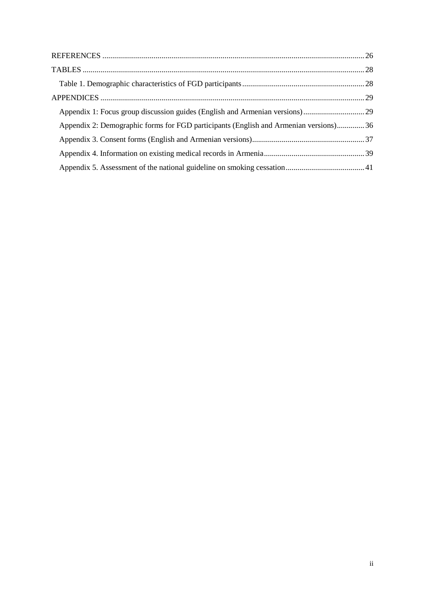| Appendix 2: Demographic forms for FGD participants (English and Armenian versions)36 |  |
|--------------------------------------------------------------------------------------|--|
|                                                                                      |  |
|                                                                                      |  |
|                                                                                      |  |
|                                                                                      |  |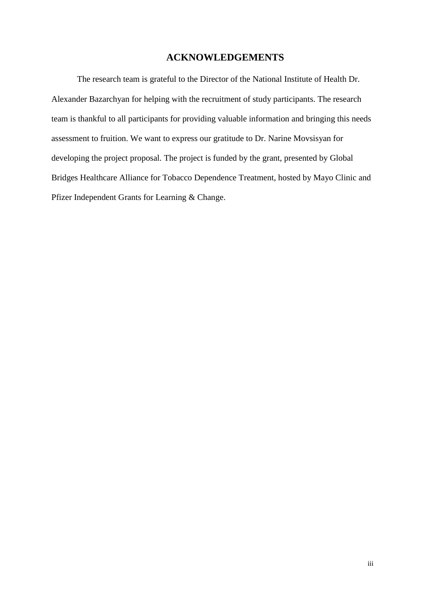### **ACKNOWLEDGEMENTS**

<span id="page-3-0"></span>The research team is grateful to the Director of the National Institute of Health Dr. Alexander Bazarchyan for helping with the recruitment of study participants. The research team is thankful to all participants for providing valuable information and bringing this needs assessment to fruition. We want to express our gratitude to Dr. Narine Movsisyan for developing the project proposal. The project is funded by the grant, presented by Global Bridges Healthcare Alliance for Tobacco Dependence Treatment, hosted by Mayo Clinic and Pfizer Independent Grants for Learning & Change.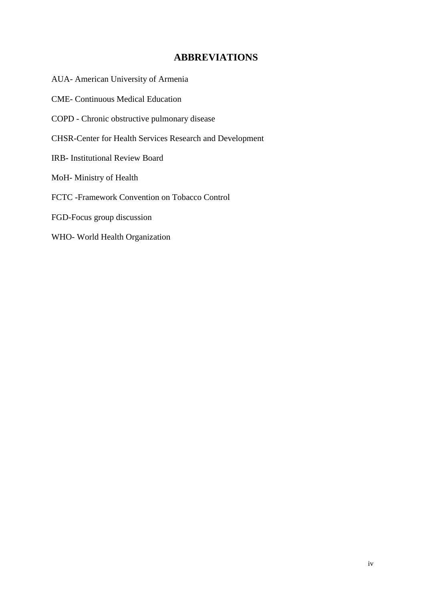# **ABBREVIATIONS**

- <span id="page-4-0"></span>AUA- American University of Armenia
- CME- Continuous Medical Education
- COPD Chronic obstructive pulmonary disease
- CHSR-Center for Health Services Research and Development
- IRB- Institutional Review Board
- MoH- Ministry of Health
- FCTC -Framework Convention on Tobacco Control
- FGD-Focus group discussion
- WHO- World Health Organization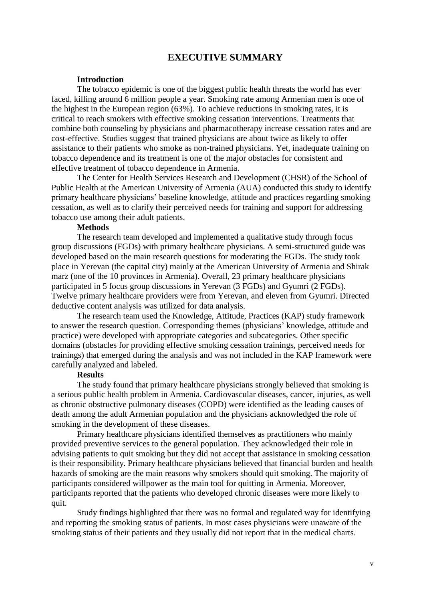### **EXECUTIVE SUMMARY**

#### **Introduction**

<span id="page-5-0"></span>The tobacco epidemic is one of the biggest public health threats the world has ever faced, killing around 6 million people a year. Smoking rate among Armenian men is one of the highest in the European region (63%). To achieve reductions in smoking rates, it is critical to reach smokers with effective smoking cessation interventions. Treatments that combine both counseling by physicians and pharmacotherapy increase cessation rates and are cost-effective. Studies suggest that trained physicians are about twice as likely to offer assistance to their patients who smoke as non-trained physicians. Yet, inadequate training on tobacco dependence and its treatment is one of the major obstacles for consistent and effective treatment of tobacco dependence in Armenia.

The Center for Health Services Research and Development (CHSR) of the School of Public Health at the American University of Armenia (AUA) conducted this study to identify primary healthcare physicians' baseline knowledge, attitude and practices regarding smoking cessation, as well as to clarify their perceived needs for training and support for addressing tobacco use among their adult patients.

#### **Methods**

The research team developed and implemented a qualitative study through focus group discussions (FGDs) with primary healthcare physicians. A semi-structured guide was developed based on the main research questions for moderating the FGDs. The study took place in Yerevan (the capital city) mainly at the American University of Armenia and Shirak marz (one of the 10 provinces in Armenia). Overall, 23 primary healthcare physicians participated in 5 focus group discussions in Yerevan (3 FGDs) and Gyumri (2 FGDs). Twelve primary healthcare providers were from Yerevan, and eleven from Gyumri. Directed deductive content analysis was utilized for data analysis.

The research team used the Knowledge, Attitude, Practices (KAP) study framework to answer the research question. Corresponding themes (physicians' knowledge, attitude and practice) were developed with appropriate categories and subcategories. Other specific domains (obstacles for providing effective smoking cessation trainings, perceived needs for trainings) that emerged during the analysis and was not included in the KAP framework were carefully analyzed and labeled.

#### **Results**

The study found that primary healthcare physicians strongly believed that smoking is a serious public health problem in Armenia. Cardiovascular diseases, cancer, injuries, as well as chronic obstructive pulmonary diseases (COPD) were identified as the leading causes of death among the adult Armenian population and the physicians acknowledged the role of smoking in the development of these diseases.

Primary healthcare physicians identified themselves as practitioners who mainly provided preventive services to the general population. They acknowledged their role in advising patients to quit smoking but they did not accept that assistance in smoking cessation is their responsibility. Primary healthcare physicians believed that financial burden and health hazards of smoking are the main reasons why smokers should quit smoking. The majority of participants considered willpower as the main tool for quitting in Armenia. Moreover, participants reported that the patients who developed chronic diseases were more likely to quit.

Study findings highlighted that there was no formal and regulated way for identifying and reporting the smoking status of patients. In most cases physicians were unaware of the smoking status of their patients and they usually did not report that in the medical charts.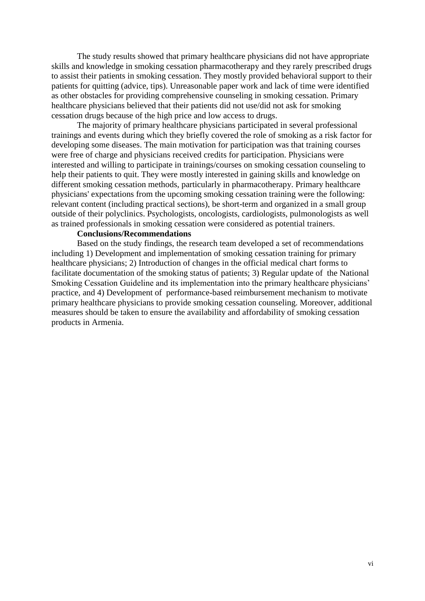The study results showed that primary healthcare physicians did not have appropriate skills and knowledge in smoking cessation pharmacotherapy and they rarely prescribed drugs to assist their patients in smoking cessation. They mostly provided behavioral support to their patients for quitting (advice, tips). Unreasonable paper work and lack of time were identified as other obstacles for providing comprehensive counseling in smoking cessation. Primary healthcare physicians believed that their patients did not use/did not ask for smoking cessation drugs because of the high price and low access to drugs.

The majority of primary healthcare physicians participated in several professional trainings and events during which they briefly covered the role of smoking as a risk factor for developing some diseases. The main motivation for participation was that training courses were free of charge and physicians received credits for participation. Physicians were interested and willing to participate in trainings/courses on smoking cessation counseling to help their patients to quit. They were mostly interested in gaining skills and knowledge on different smoking cessation methods, particularly in pharmacotherapy. Primary healthcare physicians' expectations from the upcoming smoking cessation training were the following: relevant content (including practical sections), be short-term and organized in a small group outside of their polyclinics. Psychologists, oncologists, cardiologists, pulmonologists as well as trained professionals in smoking cessation were considered as potential trainers.

#### **Conclusions/Recommendations**

Based on the study findings, the research team developed a set of recommendations including 1) Development and implementation of smoking cessation training for primary healthcare physicians; 2) Introduction of changes in the official medical chart forms to facilitate documentation of the smoking status of patients; 3) Regular update of the National Smoking Cessation Guideline and its implementation into the primary healthcare physicians' practice, and 4) Development of performance-based reimbursement mechanism to motivate primary healthcare physicians to provide smoking cessation counseling. Moreover, additional measures should be taken to ensure the availability and affordability of smoking cessation products in Armenia.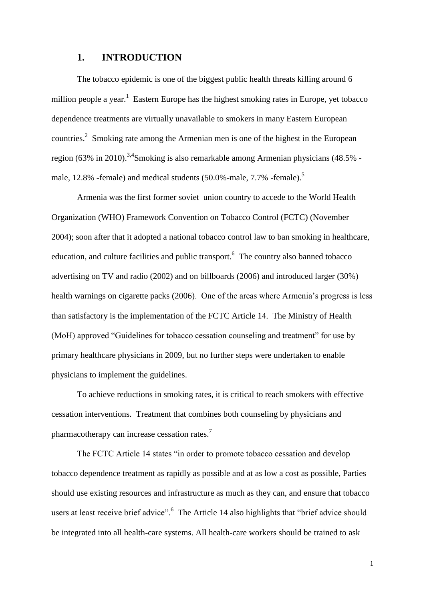### **1. INTRODUCTION**

<span id="page-7-0"></span>The tobacco epidemic is one of the biggest public health threats killing around 6 million people a year.<sup>1</sup> Eastern Europe has the highest smoking rates in Europe, yet tobacco dependence treatments are virtually unavailable to smokers in many Eastern European countries.<sup>2</sup> Smoking rate among the Armenian men is one of the highest in the European region (63% in 2010).<sup>3,4</sup>Smoking is also remarkable among Armenian physicians (48.5% male, 12.8% -female) and medical students (50.0%-male, 7.7% -female).<sup>5</sup>

Armenia was the first former soviet union country to accede to the World Health Organization (WHO) Framework Convention on Tobacco Control (FCTC) (November 2004); soon after that it adopted a national tobacco control law to ban smoking in healthcare, education, and culture facilities and public transport.<sup>6</sup> The country also banned tobacco advertising on TV and radio (2002) and on billboards (2006) and introduced larger (30%) health warnings on cigarette packs (2006). One of the areas where Armenia's progress is less than satisfactory is the implementation of the FCTC Article 14. The Ministry of Health (MoH) approved "Guidelines for tobacco cessation counseling and treatment" for use by primary healthcare physicians in 2009, but no further steps were undertaken to enable physicians to implement the guidelines.

To achieve reductions in smoking rates, it is critical to reach smokers with effective cessation interventions. Treatment that combines both counseling by physicians and pharmacotherapy can increase cessation rates.<sup>7</sup>

The FCTC Article 14 states "in order to promote tobacco cessation and develop tobacco dependence treatment as rapidly as possible and at as low a cost as possible, Parties should use existing resources and infrastructure as much as they can, and ensure that tobacco users at least receive brief advice".<sup>6</sup> The Article 14 also highlights that "brief advice should be integrated into all health-care systems. All health-care workers should be trained to ask

1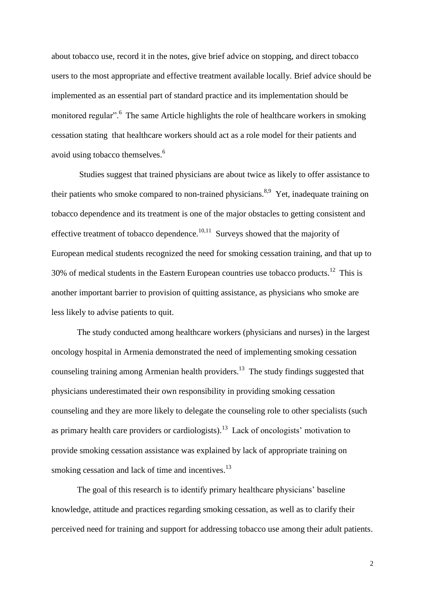about tobacco use, record it in the notes, give brief advice on stopping, and direct tobacco users to the most appropriate and effective treatment available locally. Brief advice should be implemented as an essential part of standard practice and its implementation should be monitored regular".<sup>6</sup> The same Article highlights the role of healthcare workers in smoking cessation stating that healthcare workers should act as a role model for their patients and avoid using tobacco themselves.<sup>6</sup>

Studies suggest that trained physicians are about twice as likely to offer assistance to their patients who smoke compared to non-trained physicians.<sup>8,9</sup> Yet, inadequate training on tobacco dependence and its treatment is one of the major obstacles to getting consistent and effective treatment of tobacco dependence. $10,11$  Surveys showed that the majority of European medical students recognized the need for smoking cessation training, and that up to 30% of medical students in the Eastern European countries use tobacco products.<sup>12</sup> This is another important barrier to provision of quitting assistance, as physicians who smoke are less likely to advise patients to quit.

The study conducted among healthcare workers (physicians and nurses) in the largest oncology hospital in Armenia demonstrated the need of implementing smoking cessation counseling training among Armenian health providers.<sup>13</sup> The study findings suggested that physicians underestimated their own responsibility in providing smoking cessation counseling and they are more likely to delegate the counseling role to other specialists (such as primary health care providers or cardiologists).<sup>13</sup> Lack of oncologists' motivation to provide smoking cessation assistance was explained by lack of appropriate training on smoking cessation and lack of time and incentives.<sup>13</sup>

The goal of this research is to identify primary healthcare physicians' baseline knowledge, attitude and practices regarding smoking cessation, as well as to clarify their perceived need for training and support for addressing tobacco use among their adult patients.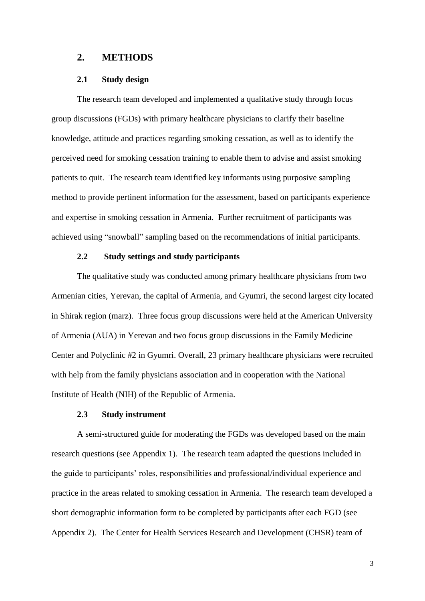#### <span id="page-9-0"></span>**2. METHODS**

#### **2.1 Study design**

<span id="page-9-1"></span>The research team developed and implemented a qualitative study through focus group discussions (FGDs) with primary healthcare physicians to clarify their baseline knowledge, attitude and practices regarding smoking cessation, as well as to identify the perceived need for smoking cessation training to enable them to advise and assist smoking patients to quit. The research team identified key informants using purposive sampling method to provide pertinent information for the assessment, based on participants experience and expertise in smoking cessation in Armenia. Further recruitment of participants was achieved using "snowball" sampling based on the recommendations of initial participants.

### <span id="page-9-2"></span>**2.2 Study settings and study participants**

The qualitative study was conducted among primary healthcare physicians from two Armenian cities, Yerevan, the capital of Armenia, and Gyumri, the second largest city located in Shirak region (marz). Three focus group discussions were held at the American University of Armenia (AUA) in Yerevan and two focus group discussions in the Family Medicine Center and Polyclinic #2 in Gyumri. Overall, 23 primary healthcare physicians were recruited with help from the family physicians association and in cooperation with the National Institute of Health (NIH) of the Republic of Armenia.

#### **2.3 Study instrument**

<span id="page-9-3"></span>A semi-structured guide for moderating the FGDs was developed based on the main research questions (see Appendix 1). The research team adapted the questions included in the guide to participants' roles, responsibilities and professional/individual experience and practice in the areas related to smoking cessation in Armenia. The research team developed a short demographic information form to be completed by participants after each FGD (see Appendix 2). The Center for Health Services Research and Development (CHSR) team of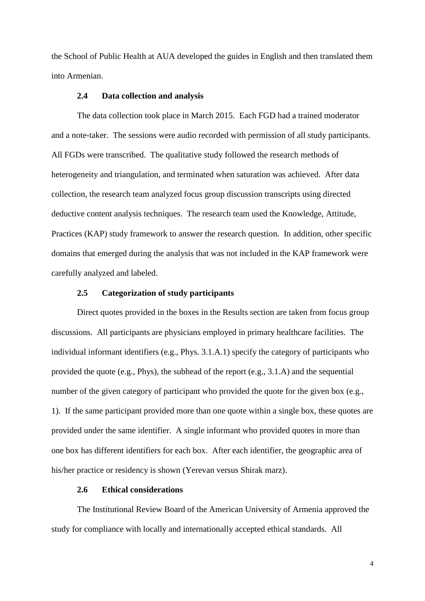the School of Public Health at AUA developed the guides in English and then translated them into Armenian.

#### **2.4 Data collection and analysis**

<span id="page-10-0"></span>The data collection took place in March 2015. Each FGD had a trained moderator and a note-taker. The sessions were audio recorded with permission of all study participants. All FGDs were transcribed. The qualitative study followed the research methods of heterogeneity and triangulation, and terminated when saturation was achieved. After data collection, the research team analyzed focus group discussion transcripts using directed deductive content analysis techniques. The research team used the Knowledge, Attitude, Practices (KAP) study framework to answer the research question. In addition, other specific domains that emerged during the analysis that was not included in the KAP framework were carefully analyzed and labeled.

#### **2.5 Categorization of study participants**

<span id="page-10-1"></span>Direct quotes provided in the boxes in the Results section are taken from focus group discussions. All participants are physicians employed in primary healthcare facilities. The individual informant identifiers (e.g., Phys. 3.1.A.1) specify the category of participants who provided the quote (e.g., Phys), the subhead of the report (e.g., 3.1.A) and the sequential number of the given category of participant who provided the quote for the given box (e.g., 1). If the same participant provided more than one quote within a single box, these quotes are provided under the same identifier. A single informant who provided quotes in more than one box has different identifiers for each box. After each identifier, the geographic area of his/her practice or residency is shown (Yerevan versus Shirak marz).

### **2.6 Ethical considerations**

<span id="page-10-2"></span>The Institutional Review Board of the American University of Armenia approved the study for compliance with locally and internationally accepted ethical standards. All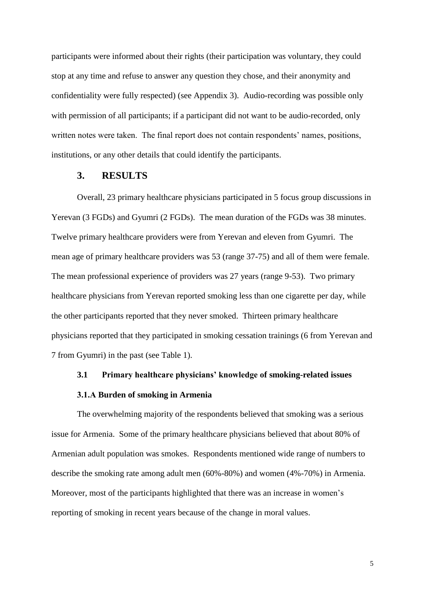participants were informed about their rights (their participation was voluntary, they could stop at any time and refuse to answer any question they chose, and their anonymity and confidentiality were fully respected) (see Appendix 3). Audio-recording was possible only with permission of all participants; if a participant did not want to be audio-recorded, only written notes were taken. The final report does not contain respondents' names, positions, institutions, or any other details that could identify the participants.

#### **3. RESULTS**

<span id="page-11-0"></span>Overall, 23 primary healthcare physicians participated in 5 focus group discussions in Yerevan (3 FGDs) and Gyumri (2 FGDs). The mean duration of the FGDs was 38 minutes. Twelve primary healthcare providers were from Yerevan and eleven from Gyumri. The mean age of primary healthcare providers was 53 (range 37-75) and all of them were female. The mean professional experience of providers was 27 years (range 9-53). Two primary healthcare physicians from Yerevan reported smoking less than one cigarette per day, while the other participants reported that they never smoked. Thirteen primary healthcare physicians reported that they participated in smoking cessation trainings (6 from Yerevan and 7 from Gyumri) in the past (see Table 1).

#### <span id="page-11-1"></span>**3.1 Primary healthcare physicians' knowledge of smoking-related issues**

#### **3.1.А Burden of smoking in Armenia**

<span id="page-11-2"></span>The overwhelming majority of the respondents believed that smoking was a serious issue for Armenia. Some of the primary healthcare physicians believed that about 80% of Armenian adult population was smokes. Respondents mentioned wide range of numbers to describe the smoking rate among adult men (60%-80%) and women (4%-70%) in Armenia. Moreover, most of the participants highlighted that there was an increase in women's reporting of smoking in recent years because of the change in moral values.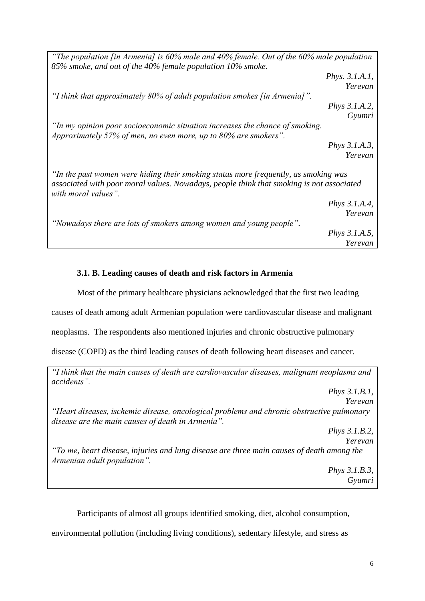*"The population [in Armenia] is 60% male and 40% female. Out of the 60% male population 85% smoke, and out of the 40% female population 10% smoke. Phys. 3.1.A.1, Yerevan "I think that approximately 80% of adult population smokes [in Armenia]". Phys 3.1.A.2, Gyumri "In my opinion poor socioeconomic situation increases the chance of smoking. Approximately 57% of men, no even more, up to 80% are smokers". Phys 3.1.A.3, Yerevan "In the past women were hiding their smoking status more frequently, as smoking was associated with poor moral values. Nowadays, people think that smoking is not associated with moral values". Phys 3.1.A.4, Yerevan "Nowadays there are lots of smokers among women and young people". Phys 3.1.A.5, Yerevan*

### <span id="page-12-0"></span>**3.1. B. Leading causes of death and risk factors in Armenia**

Most of the primary healthcare physicians acknowledged that the first two leading

causes of death among adult Armenian population were cardiovascular disease and malignant

neoplasms. The respondents also mentioned injuries and chronic obstructive pulmonary

disease (COPD) as the third leading causes of death following heart diseases and cancer.

*"I think that the main causes of death are cardiovascular diseases, malignant neoplasms and accidents".*

*Phys 3.1.B.1, Yerevan "Heart diseases, ischemic disease, oncological problems and chronic obstructive pulmonary disease are the main causes of death in Armenia". Phys 3.1.B.2, Yerevan "To me, heart disease, injuries and lung disease are three main causes of death among the Armenian adult population".* 

*Phys 3.1.B.3, Gyumri*

Participants of almost all groups identified smoking, diet, alcohol consumption,

environmental pollution (including living conditions), sedentary lifestyle, and stress as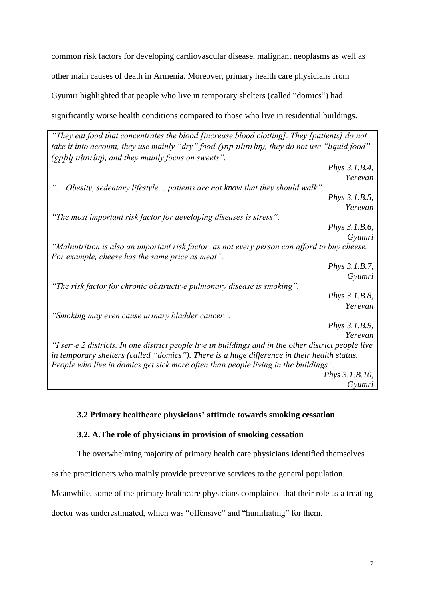common risk factors for developing cardiovascular disease, malignant neoplasms as well as other main causes of death in Armenia. Moreover, primary health care physicians from Gyumri highlighted that people who live in temporary shelters (called "domics") had significantly worse health conditions compared to those who live in residential buildings.

*"They eat food that concentrates the blood [increase blood clotting]. They [patients] do not take it into account, they use mainly "dry" food* (չոր սնունդ*), they do not use "liquid food" (*ջրիկ սնունդ*), and they mainly focus on sweets". Phys 3.1.B.4, Yerevan "… Obesity, sedentary lifestyle… patients are not know that they should walk". Phys 3.1.B.5, Yerevan "The most important risk factor for developing diseases is stress". Phys 3.1.B.6, Gyumri "Malnutrition is also an important risk factor, as not every person can afford to buy cheese. For example, cheese has the same price as meat". Phys 3.1.B.7, Gyumri "The risk factor for chronic obstructive pulmonary disease is smoking". Phys 3.1.B.8, Yerevan "Smoking may even cause urinary bladder cancer". Phys 3.1.B.9, Yerevan "I serve 2 districts. In one district people live in buildings and in the other district people live in temporary shelters (called "domics"). There is a huge difference in their health status. People who live in domics get sick more often than people living in the buildings". Phys 3.1.B.10, Gyumri*

### <span id="page-13-0"></span>**3.2 Primary healthcare physicians' attitude towards smoking cessation**

#### <span id="page-13-1"></span>**3.2. A.The role of physicians in provision of smoking cessation**

The overwhelming majority of primary health care physicians identified themselves

as the practitioners who mainly provide preventive services to the general population.

Meanwhile, some of the primary healthcare physicians complained that their role as a treating

doctor was underestimated, which was "offensive" and "humiliating" for them.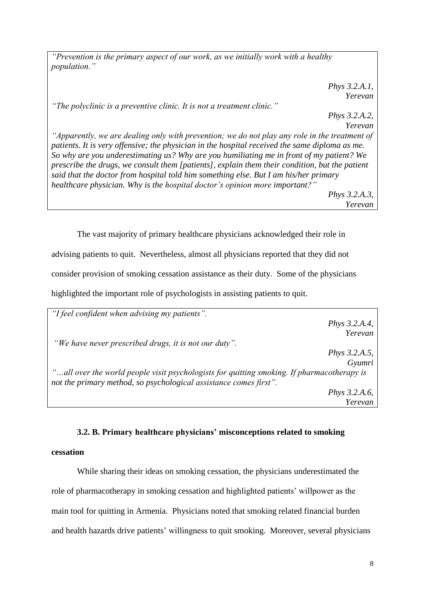*"Prevention is the primary aspect of our work, as we initially work with a healthy population."*

> *Phys 3.2.A.1, Yerevan*

*"The polyclinic is a preventive clinic. It is not a treatment clinic."* 

*Phys 3.2.A.2, Yerevan*

*"Apparently, we are dealing only with prevention; we do not play any role in the treatment of patients. It is very offensive; the physician in the hospital received the same diploma as me. So why are you underestimating us? Why are you humiliating me in front of my patient? We prescribe the drugs, we consult them [patients], explain them their condition, but the patient said that the doctor from hospital told him something else. But I am his/her primary healthcare physician. Why is the hospital doctor's opinion more important?" Phys 3.2.A.3,* 

*Yerevan*

The vast majority of primary healthcare physicians acknowledged their role in advising patients to quit. Nevertheless, almost all physicians reported that they did not consider provision of smoking cessation assistance as their duty. Some of the physicians highlighted the important role of psychologists in assisting patients to quit.

| "I feel confident when advising my patients".                                              |                      |
|--------------------------------------------------------------------------------------------|----------------------|
|                                                                                            | <i>Phys</i> 3.2.A.4, |
|                                                                                            | Yerevan              |
| "We have never prescribed drugs, it is not our duty".                                      |                      |
|                                                                                            | <i>Phys</i> 3.2.A.5, |
|                                                                                            | Gyumri               |
| "all over the world people visit psychologists for quitting smoking. If pharmacotherapy is |                      |
| not the primary method, so psychological assistance comes first".                          |                      |
|                                                                                            | <i>Phys</i> 3.2.A.6, |
|                                                                                            | Yerevan              |

#### **3.2. B. Primary healthcare physicians' misconceptions related to smoking**

### <span id="page-14-0"></span>**cessation**

While sharing their ideas on smoking cessation, the physicians underestimated the role of pharmacotherapy in smoking cessation and highlighted patients' willpower as the main tool for quitting in Armenia. Physicians noted that smoking related financial burden and health hazards drive patients' willingness to quit smoking. Moreover, several physicians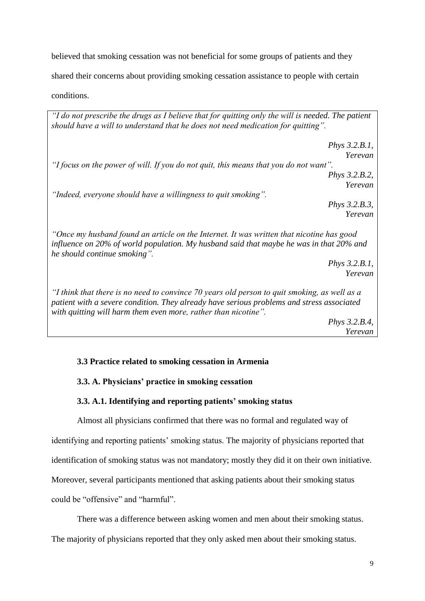believed that smoking cessation was not beneficial for some groups of patients and they shared their concerns about providing smoking cessation assistance to people with certain conditions.

*"I do not prescribe the drugs as I believe that for quitting only the will is needed. The patient should have a will to understand that he does not need medication for quitting".*

*Phys 3.2.B.1, Yerevan "I focus on the power of will. If you do not quit, this means that you do not want". Phys 3.2.B.2, Yerevan "Indeed, everyone should have a willingness to quit smoking". Phys 3.2.B.3, Yerevan "Once my husband found an article on the Internet. It was written that nicotine has good influence on 20% of world population. My husband said that maybe he was in that 20% and he should continue smoking".* 

*Phys 3.2.B.1, Yerevan*

*"I think that there is no need to convince 70 years old person to quit smoking, as well as a patient with a severe condition. They already have serious problems and stress associated with quitting will harm them even more, rather than nicotine".*

*Phys 3.2.B.4, Yerevan*

### <span id="page-15-0"></span>**3.3 Practice related to smoking cessation in Armenia**

#### <span id="page-15-1"></span>**3.3. A. Physicians' practice in smoking cessation**

#### **3.3. A.1. Identifying and reporting patients' smoking status**

<span id="page-15-2"></span>Almost all physicians confirmed that there was no formal and regulated way of identifying and reporting patients' smoking status. The majority of physicians reported that identification of smoking status was not mandatory; mostly they did it on their own initiative. Moreover, several participants mentioned that asking patients about their smoking status could be "offensive" and "harmful".

There was a difference between asking women and men about their smoking status.

The majority of physicians reported that they only asked men about their smoking status.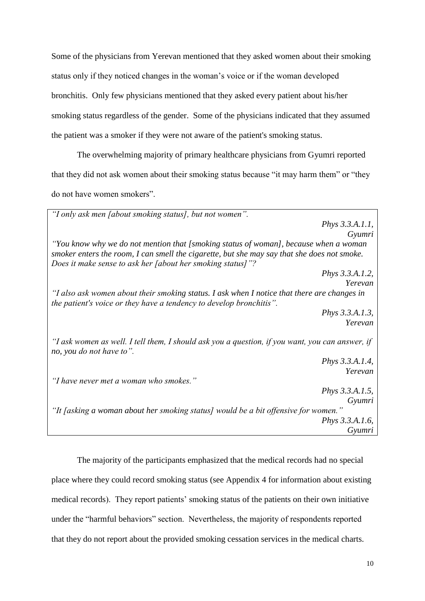Some of the physicians from Yerevan mentioned that they asked women about their smoking status only if they noticed changes in the woman's voice or if the woman developed bronchitis. Only few physicians mentioned that they asked every patient about his/her smoking status regardless of the gender. Some of the physicians indicated that they assumed the patient was a smoker if they were not aware of the patient's smoking status.

The overwhelming majority of primary healthcare physicians from Gyumri reported that they did not ask women about their smoking status because "it may harm them" or "they do not have women smokers".

*"I only ask men [about smoking status], but not women". Phys 3.3.A.1.1, Gyumri "You know why we do not mention that [smoking status of woman], because when a woman smoker enters the room, I can smell the cigarette, but she may say that she does not smoke. Does it make sense to ask her [about her smoking status]"? Phys 3.3.A.1.2, Yerevan "I also ask women about their smoking status. I ask when I notice that there are changes in the patient's voice or they have a tendency to develop bronchitis". Phys 3.3.A.1.3, Yerevan "I ask women as well. I tell them, I should ask you a question, if you want, you can answer, if no, you do not have to". Phys 3.3.A.1.4, Yerevan "I have never met a woman who smokes." Phys 3.3.A.1.5, Gyumri "It [asking a woman about her smoking status] would be a bit offensive for women." Phys 3.3.A.1.6, Gyumri*

The majority of the participants emphasized that the medical records had no special place where they could record smoking status (see Appendix 4 for information about existing medical records). They report patients' smoking status of the patients on their own initiative under the "harmful behaviors" section. Nevertheless, the majority of respondents reported that they do not report about the provided smoking cessation services in the medical charts.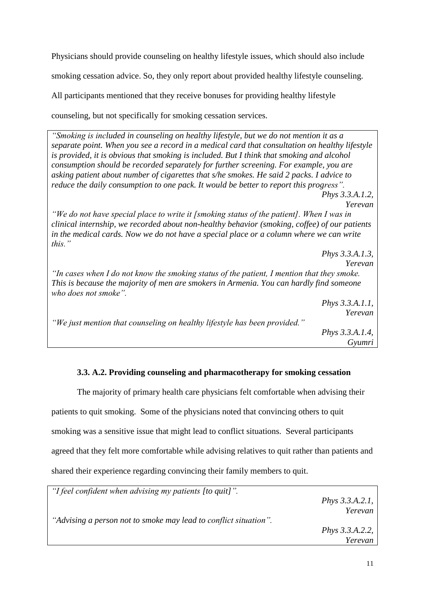Physicians should provide counseling on healthy lifestyle issues, which should also include

smoking cessation advice. So, they only report about provided healthy lifestyle counseling.

All participants mentioned that they receive bonuses for providing healthy lifestyle

counseling, but not specifically for smoking cessation services.

*"Smoking is included in counseling on healthy lifestyle, but we do not mention it as a separate point. When you see a record in a medical card that consultation on healthy lifestyle is provided, it is obvious that smoking is included. But I think that smoking and alcohol consumption should be recorded separately for further screening. For example, you are asking patient about number of cigarettes that s/he smokes. He said 2 packs. I advice to reduce the daily consumption to one pack. It would be better to report this progress". Phys 3.3.A.1.2, Yerevan "We do not have special place to write it [smoking status of the patient]. When I was in clinical internship, we recorded about non-healthy behavior (smoking, coffee) of our patients in the medical cards. Now we do not have a special place or a column where we can write this."* 

*Phys 3.3.A.1.3, Yerevan "In cases when I do not know the smoking status of the patient, I mention that they smoke. This is because the majority of men are smokers in Armenia. You can hardly find someone who does not smoke". Phys 3.3.A.1.1, Yerevan "We just mention that counseling on healthy lifestyle has been provided." Phys 3.3.A.1.4, Gyumri* 

### **3.3. A.2. Providing counseling and pharmacotherapy for smoking cessation**

<span id="page-17-0"></span>The majority of primary health care physicians felt comfortable when advising their patients to quit smoking. Some of the physicians noted that convincing others to quit smoking was a sensitive issue that might lead to conflict situations. Several participants agreed that they felt more comfortable while advising relatives to quit rather than patients and shared their experience regarding convincing their family members to quit.

| "I feel confident when advising my patients [to quit]".          |                           |
|------------------------------------------------------------------|---------------------------|
|                                                                  | <i>Phys</i> $3.3.A.2.1$ , |
|                                                                  | Yerevan                   |
| "Advising a person not to smoke may lead to conflict situation". |                           |
|                                                                  | <i>Phys</i> $3.3.A.2.2$ , |
|                                                                  | Yerevan                   |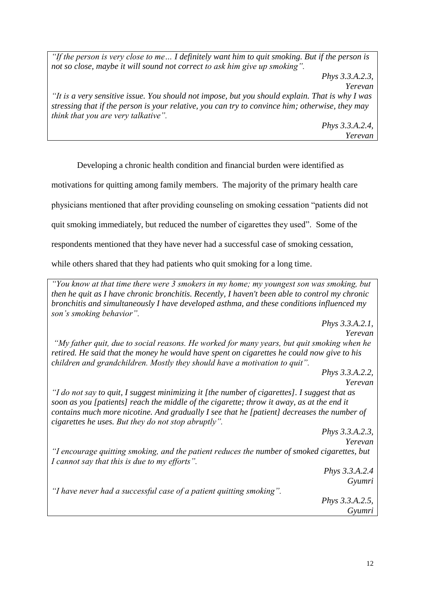*"If the person is very close to me… I definitely want him to quit smoking. But if the person is not so close, maybe it will sound not correct to ask him give up smoking".*

*Phys 3.3.A.2.3,*

*Yerevan*

*"It is a very sensitive issue. You should not impose, but you should explain. That is why I was stressing that if the person is your relative, you can try to convince him; otherwise, they may think that you are very talkative".* 

> *Phys 3.3.A.2.4, Yerevan*

Developing a chronic health condition and financial burden were identified as

motivations for quitting among family members. The majority of the primary health care

physicians mentioned that after providing counseling on smoking cessation "patients did not

quit smoking immediately, but reduced the number of cigarettes they used". Some of the

respondents mentioned that they have never had a successful case of smoking cessation,

while others shared that they had patients who quit smoking for a long time.

*"You know at that time there were 3 smokers in my home; my youngest son was smoking, but then he quit as I have chronic bronchitis. Recently, I haven't been able to control my chronic bronchitis and simultaneously I have developed asthma, and these conditions influenced my son's smoking behavior".* 

*Phys 3.3.A.2.1, Yerevan "My father quit, due to social reasons. He worked for many years, but quit smoking when he retired. He said that the money he would have spent on cigarettes he could now give to his children and grandchildren. Mostly they should have a motivation to quit".* 

*Phys 3.3.A.2.2, Yerevan* 

*"I do not say to quit, I suggest minimizing it [the number of cigarettes]. I suggest that as soon as you [patients] reach the middle of the cigarette; throw it away, as at the end it contains much more nicotine. And gradually I see that he [patient] decreases the number of cigarettes he uses. But they do not stop abruptly".* 

> *Phys 3.3.A.2.3, Yerevan*

*"I encourage quitting smoking, and the patient reduces the number of smoked cigarettes, but I cannot say that this is due to my efforts".* 

> *Phys 3.3.A.2.4 Gyumri*

*"I have never had a successful case of a patient quitting smoking".* 

*Phys 3.3.A.2.5, Gyumri*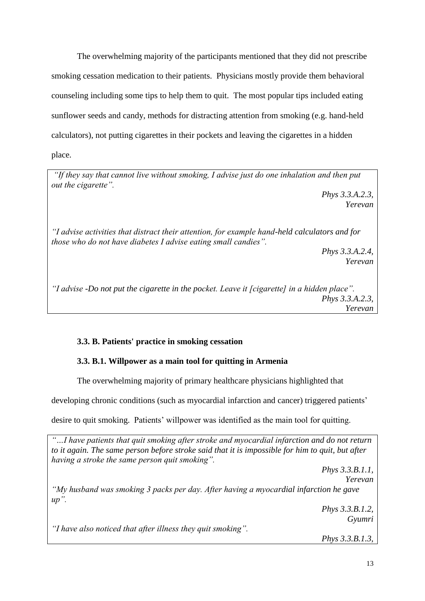The overwhelming majority of the participants mentioned that they did not prescribe smoking cessation medication to their patients. Physicians mostly provide them behavioral counseling including some tips to help them to quit. The most popular tips included eating sunflower seeds and candy, methods for distracting attention from smoking (e.g. hand-held calculators), not putting cigarettes in their pockets and leaving the cigarettes in a hidden place.

*"If they say that cannot live without smoking, I advise just do one inhalation and then put out the cigarette".* 

> *Phys 3.3.A.2.3, Yerevan*

*"I advise activities that distract their attention, for example hand-held calculators and for those who do not have diabetes I advise eating small candies".*

> *Phys 3.3.A.2.4, Yerevan*

*"I advise -Do not put the cigarette in the pocket. Leave it [cigarette] in a hidden place". Phys 3.3.A.2.3, Yerevan*

### <span id="page-19-0"></span>**3.3. B. Patients' practice in smoking cessation**

### <span id="page-19-1"></span>**3.3. B.1. Willpower as a main tool for quitting in Armenia**

The overwhelming majority of primary healthcare physicians highlighted that

developing chronic conditions (such as myocardial infarction and cancer) triggered patients'

desire to quit smoking. Patients' willpower was identified as the main tool for quitting.

*"…I have patients that quit smoking after stroke and myocardial infarction and do not return to it again. The same person before stroke said that it is impossible for him to quit, but after having a stroke the same person quit smoking". Phys 3.3.B.1.1, Yerevan "My husband was smoking 3 packs per day. After having a myocardial infarction he gave up". Phys 3.3.B.1.2, Gyumri "I have also noticed that after illness they quit smoking". Phys 3.3.B.1.3,*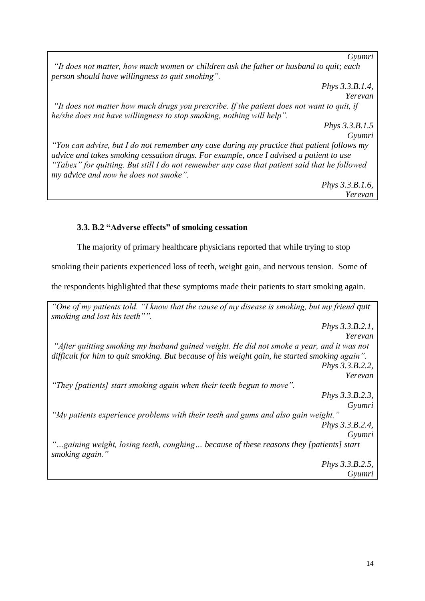*Gyumri "It does not matter, how much women or children ask the father or husband to quit; each person should have willingness to quit smoking". Phys 3.3.B.1.4, Yerevan "It does not matter how much drugs you prescribe. If the patient does not want to quit, if he/she does not have willingness to stop smoking, nothing will help". Phys 3.3.B.1.5 Gyumri "You can advise, but I do not remember any case during my practice that patient follows my advice and takes smoking cessation drugs. For example, once I advised a patient to use "Tabex" for quitting. But still I do not remember any case that patient said that he followed my advice and now he does not smoke". Phys 3.3.B.1.6, Yerevan* 

### <span id="page-20-0"></span>**3.3. B.2 "Adverse effects" of smoking cessation**

The majority of primary healthcare physicians reported that while trying to stop

smoking their patients experienced loss of teeth, weight gain, and nervous tension. Some of

the respondents highlighted that these symptoms made their patients to start smoking again.

*"One of my patients told. "I know that the cause of my disease is smoking, but my friend quit smoking and lost his teeth"". Phys 3.3.B.2.1, Yerevan "After quitting smoking my husband gained weight. He did not smoke a year, and it was not difficult for him to quit smoking. But because of his weight gain, he started smoking again". Phys 3.3.B.2.2, Yerevan "They [patients] start smoking again when their teeth begun to move". Phys 3.3.B.2.3, Gyumri "My patients experience problems with their teeth and gums and also gain weight." Phys 3.3.B.2.4, Gyumri "…gaining weight, losing teeth, coughing… because of these reasons they [patients] start smoking again." Phys 3.3.B.2.5, Gyumri*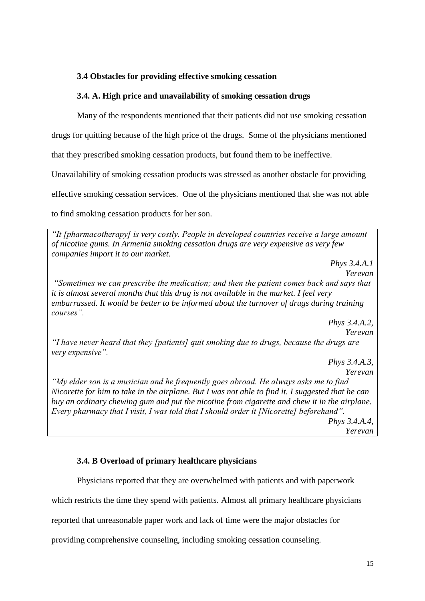### <span id="page-21-0"></span>**3.4 Obstacles for providing effective smoking cessation**

### <span id="page-21-1"></span>**3.4. A. High price and unavailability of smoking cessation drugs**

Many of the respondents mentioned that their patients did not use smoking cessation

drugs for quitting because of the high price of the drugs. Some of the physicians mentioned

that they prescribed smoking cessation products, but found them to be ineffective.

Unavailability of smoking cessation products was stressed as another obstacle for providing

effective smoking cessation services. One of the physicians mentioned that she was not able

to find smoking cessation products for her son.

*"It [pharmacotherapy] is very costly. People in developed countries receive a large amount of nicotine gums. In Armenia smoking cessation drugs are very expensive as very few companies import it to our market.* 

*Yerevan "Sometimes we can prescribe the medication; and then the patient comes back and says that it is almost several months that this drug is not available in the market. I feel very embarrassed. It would be better to be informed about the turnover of drugs during training courses".*

*Phys 3.4.A.2, Yerevan*

*Phys 3.4.A.1*

*"I have never heard that they [patients] quit smoking due to drugs, because the drugs are very expensive".* 

> *Phys 3.4.A.3, Yerevan*

*"My elder son is a musician and he frequently goes abroad. He always asks me to find Nicorette for him to take in the airplane. But I was not able to find it. I suggested that he can buy an ordinary chewing gum and put the nicotine from cigarette and chew it in the airplane. Every pharmacy that I visit, I was told that I should order it [Nicorette] beforehand". Phys 3.4.A.4, Yerevan*

### <span id="page-21-2"></span>**3.4. B Overload of primary healthcare physicians**

Physicians reported that they are overwhelmed with patients and with paperwork

which restricts the time they spend with patients. Almost all primary healthcare physicians

reported that unreasonable paper work and lack of time were the major obstacles for

providing comprehensive counseling, including smoking cessation counseling.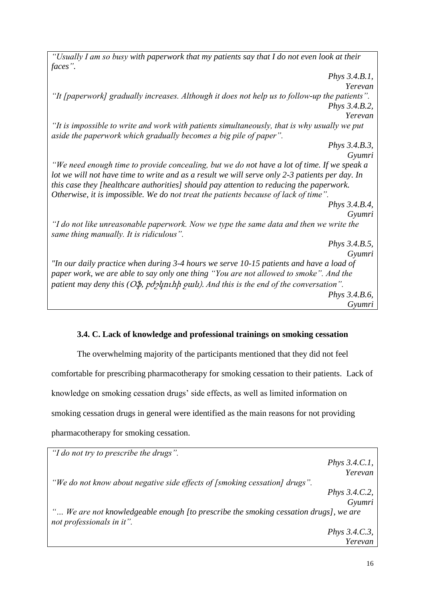*"Usually I am so busy with paperwork that my patients say that I do not even look at their faces". Phys 3.4.B.1, Yerevan "It [paperwork] gradually increases. Although it does not help us to follow-up the patients". Phys 3.4.B.2, Yerevan "It is impossible to write and work with patients simultaneously, that is why usually we put aside the paperwork which gradually becomes a big pile of paper". Phys 3.4.B.3, Gyumri "We need enough time to provide concealing, but we do not have a lot of time. If we speak a lot we will not have time to write and as a result we will serve only 2-3 patients per day. In this case they [healthcare authorities] should pay attention to reducing the paperwork. Otherwise, it is impossible. We do not treat the patients because of lack of time". Phys 3.4.B.4, Gyumri "I do not like unreasonable paperwork. Now we type the same data and then we write the same thing manually. It is ridiculous". Phys 3.4.B.5, Gyumri "In our daily practice when during 3-4 hours we serve 10-15 patients and have a load of paper work, we are able to say only one thing "You are not allowed to smoke". And the patient may deny this (*Օֆ, բժշկուհի ջան). *And this is the end of the conversation". Phys 3.4.B.6, Gyumri*

### **3.4. C. Lack of knowledge and professional trainings on smoking cessation**

<span id="page-22-0"></span>The overwhelming majority of the participants mentioned that they did not feel comfortable for prescribing pharmacotherapy for smoking cessation to their patients. Lack of knowledge on smoking cessation drugs' side effects, as well as limited information on smoking cessation drugs in general were identified as the main reasons for not providing pharmacotherapy for smoking cessation.

| "I do not try to prescribe the drugs".                                                                            |                         |
|-------------------------------------------------------------------------------------------------------------------|-------------------------|
|                                                                                                                   | Phys $3.4.C.1$ ,        |
|                                                                                                                   | Yerevan                 |
| "We do not know about negative side effects of [smoking cessation] drugs".                                        |                         |
|                                                                                                                   | <i>Phys</i> $3.4.C.2$ , |
|                                                                                                                   | Gyumri                  |
| " We are not knowledgeable enough [to prescribe the smoking cessation drugs], we are<br>not professionals in it". |                         |
|                                                                                                                   | <i>Phys</i> $3.4.C.3$ , |
|                                                                                                                   | Yerevan                 |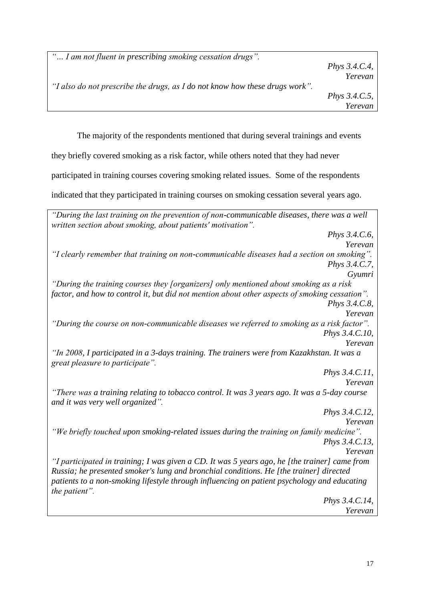*"… I am not fluent in prescribing smoking cessation drugs".* 

*Phys 3.4.C.4, Yerevan*

*Phys 3.4.C.5, Yerevan*

*"I also do not prescribe the drugs, as I do not know how these drugs work".*

The majority of the respondents mentioned that during several trainings and events

they briefly covered smoking as a risk factor, while others noted that they had never

participated in training courses covering smoking related issues. Some of the respondents

indicated that they participated in training courses on smoking cessation several years ago.

*"During the last training on the prevention of non-communicable diseases, there was a well written section about smoking, about patients' motivation". Phys 3.4.C.6, Yerevan "I clearly remember that training on non-communicable diseases had a section on smoking". Phys 3.4.C.7, Gyumri "During the training courses they [organizers] only mentioned about smoking as a risk factor, and how to control it, but did not mention about other aspects of smoking cessation". Phys 3.4.C.8, Yerevan "During the course on non-communicable diseases we referred to smoking as a risk factor". Phys 3.4.C.10, Yerevan "In 2008, I participated in a 3-days training. The trainers were from Kazakhstan. It was a great pleasure to participate". Phys 3.4.C.11, Yerevan "There was a training relating to tobacco control. It was 3 years ago. It was a 5-day course and it was very well organized". Phys 3.4.C.12, Yerevan "We briefly touched upon smoking-related issues during the training on family medicine". Phys 3.4.C.13, Yerevan "I participated in training; I was given a CD. It was 5 years ago, he [the trainer] came from Russia; he presented smoker's lung and bronchial conditions. He [the trainer] directed patients to a non-smoking lifestyle through influencing on patient psychology and educating the patient". Phys 3.4.C.14, Yerevan*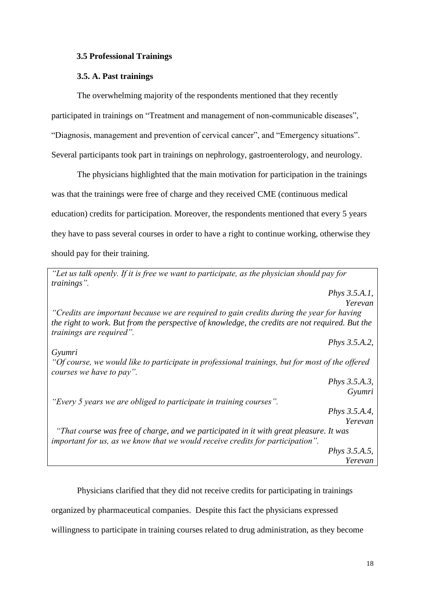### <span id="page-24-0"></span>**3.5 Professional Trainings**

### **3.5. A. Past trainings**

<span id="page-24-1"></span>The overwhelming majority of the respondents mentioned that they recently participated in trainings on "Treatment and management of non-communicable diseases", "Diagnosis, management and prevention of cervical cancer", and "Emergency situations". Several participants took part in trainings on nephrology, gastroenterology, and neurology.

The physicians highlighted that the main motivation for participation in the trainings was that the trainings were free of charge and they received CME (continuous medical education) credits for participation. Moreover, the respondents mentioned that every 5 years they have to pass several courses in order to have a right to continue working, otherwise they should pay for their training.

*"Let us talk openly. If it is free we want to participate, as the physician should pay for trainings". Phys 3.5.A.1, Yerevan "Credits are important because we are required to gain credits during the year for having the right to work. But from the perspective of knowledge, the credits are not required. But the trainings are required". Phys 3.5.A.2, Gyumri "Of course, we would like to participate in professional trainings, but for most of the offered courses we have to pay". Phys 3.5.A.3, Gyumri "Every 5 years we are obliged to participate in training courses". Phys 3.5.A.4, Yerevan "That course was free of charge, and we participated in it with great pleasure. It was important for us, as we know that we would receive credits for participation". Phys 3.5.A.5, Yerevan*

Physicians clarified that they did not receive credits for participating in trainings

organized by pharmaceutical companies. Despite this fact the physicians expressed

willingness to participate in training courses related to drug administration, as they become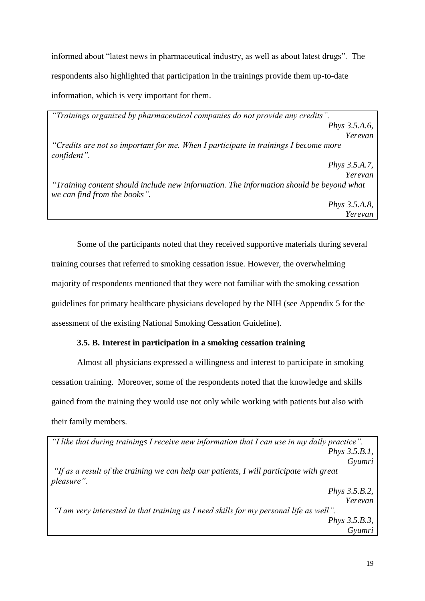informed about "latest news in pharmaceutical industry, as well as about latest drugs". The respondents also highlighted that participation in the trainings provide them up-to-date information, which is very important for them.

*"Trainings organized by pharmaceutical companies do not provide any credits". Phys 3.5.A.6, Yerevan "Credits are not so important for me. When I participate in trainings I become more confident". Phys 3.5.A.7, Yerevan "Training content should include new information. The information should be beyond what we can find from the books". Phys 3.5.A.8, Yerevan*

Some of the participants noted that they received supportive materials during several training courses that referred to smoking cessation issue. However, the overwhelming majority of respondents mentioned that they were not familiar with the smoking cessation guidelines for primary healthcare physicians developed by the NIH (see Appendix 5 for the assessment of the existing National Smoking Cessation Guideline).

### **3.5. B. Interest in participation in a smoking cessation training**

<span id="page-25-0"></span>Almost all physicians expressed a willingness and interest to participate in smoking cessation training. Moreover, some of the respondents noted that the knowledge and skills gained from the training they would use not only while working with patients but also with their family members.

| "I like that during trainings I receive new information that I can use in my daily practice".                 |  |  |
|---------------------------------------------------------------------------------------------------------------|--|--|
| <i>Phys</i> 3.5.B.1,                                                                                          |  |  |
| Gyumri                                                                                                        |  |  |
| "If as a result of the training we can help our patients, I will participate with great<br><i>pleasure</i> ". |  |  |
| <i>Phys</i> 3.5.B.2,                                                                                          |  |  |
| Yerevan                                                                                                       |  |  |
| "I am very interested in that training as I need skills for my personal life as well".                        |  |  |
| <i>Phys</i> 3.5.B.3,                                                                                          |  |  |
| Gyumri                                                                                                        |  |  |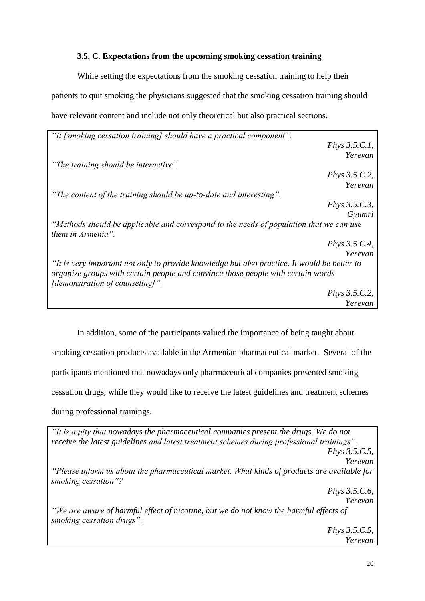### **3.5. C. Expectations from the upcoming smoking cessation training**

<span id="page-26-0"></span>While setting the expectations from the smoking cessation training to help their patients to quit smoking the physicians suggested that the smoking cessation training should have relevant content and include not only theoretical but also practical sections.

| "It [smoking cessation training] should have a practical component".                                                |                      |
|---------------------------------------------------------------------------------------------------------------------|----------------------|
|                                                                                                                     | Phys $3.5.C.1$ ,     |
|                                                                                                                     | Yerevan              |
| "The training should be interactive".                                                                               |                      |
|                                                                                                                     | <i>Phys</i> 3.5.C.2, |
|                                                                                                                     | Yerevan              |
| "The content of the training should be up-to-date and interesting".                                                 |                      |
|                                                                                                                     | <i>Phys</i> 3.5.C.3, |
|                                                                                                                     | Gyumri               |
| "Methods should be applicable and correspond to the needs of population that we can use<br>them in Armenia".        |                      |
|                                                                                                                     | <i>Phys</i> 3.5.C.4, |
|                                                                                                                     | Yerevan              |
| "It is very important not only to provide knowledge but also practice. It would be better to                        |                      |
| organize groups with certain people and convince those people with certain words<br>[demonstration of counseling]". |                      |
|                                                                                                                     | <i>Phys</i> 3.5.C.2, |
|                                                                                                                     | Yerevan              |

In addition, some of the participants valued the importance of being taught about smoking cessation products available in the Armenian pharmaceutical market. Several of the participants mentioned that nowadays only pharmaceutical companies presented smoking cessation drugs, while they would like to receive the latest guidelines and treatment schemes during professional trainings.

| "It is a pity that nowadays the pharmaceutical companies present the drugs. We do not                               |
|---------------------------------------------------------------------------------------------------------------------|
| receive the latest guidelines and latest treatment schemes during professional trainings".                          |
| <i>Phys</i> 3.5.C.5,                                                                                                |
| Yerevan                                                                                                             |
| "Please inform us about the pharmaceutical market. What kinds of products are available for<br>smoking cessation"?  |
| <i>Phys</i> $3.5.C.6$ ,                                                                                             |
| Yerevan                                                                                                             |
| "We are aware of harmful effect of nicotine, but we do not know the harmful effects of<br>smoking cessation drugs". |
| <i>Phys</i> $3.5.C.5$ ,                                                                                             |
| Yerevan                                                                                                             |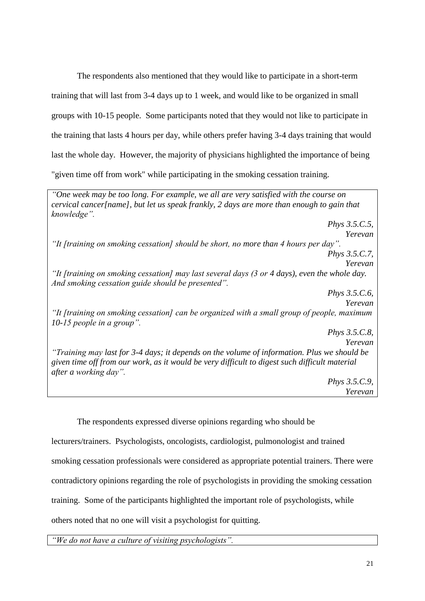The respondents also mentioned that they would like to participate in a short-term training that will last from 3-4 days up to 1 week, and would like to be organized in small groups with 10-15 people. Some participants noted that they would not like to participate in the training that lasts 4 hours per day, while others prefer having 3-4 days training that would last the whole day. However, the majority of physicians highlighted the importance of being "given time off from work" while participating in the smoking cessation training.

*"One week may be too long. For example, we all are very satisfied with the course on cervical cancer[name], but let us speak frankly, 2 days are more than enough to gain that knowledge". Phys 3.5.C.5, Yerevan "It [training on smoking cessation] should be short, no more than 4 hours per day". Phys 3.5.C.7, Yerevan "It [training on smoking cessation] may last several days (3 or 4 days), even the whole day. And smoking cessation guide should be presented". Phys 3.5.C.6, Yerevan "It [training on smoking cessation] can be organized with a small group of people, maximum 10-15 people in a group". Phys 3.5.C.8, Yerevan "Training may last for 3-4 days; it depends on the volume of information. Plus we should be given time off from our work, as it would be very difficult to digest such difficult material after a working day". Phys 3.5.C.9, Yerevan*

The respondents expressed diverse opinions regarding who should be lecturers/trainers. Psychologists, oncologists, cardiologist, pulmonologist and trained smoking cessation professionals were considered as appropriate potential trainers. There were contradictory opinions regarding the role of psychologists in providing the smoking cessation training. Some of the participants highlighted the important role of psychologists, while others noted that no one will visit a psychologist for quitting.

*"We do not have a culture of visiting psychologists".*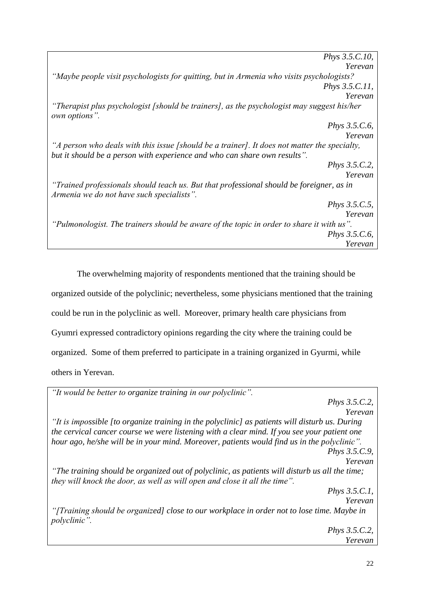| <i>Phys</i> 3.5.C.10,                                                                                                                                                     |  |
|---------------------------------------------------------------------------------------------------------------------------------------------------------------------------|--|
| Yerevan                                                                                                                                                                   |  |
| "Maybe people visit psychologists for quitting, but in Armenia who visits psychologists?                                                                                  |  |
| <i>Phys</i> 3.5.C.11,                                                                                                                                                     |  |
| Yerevan                                                                                                                                                                   |  |
| "Therapist plus psychologist [should be trainers], as the psychologist may suggest his/her<br>own options".                                                               |  |
| <i>Phys</i> 3.5.C.6,                                                                                                                                                      |  |
| Yerevan                                                                                                                                                                   |  |
| "A person who deals with this issue [should be a trainer]. It does not matter the specialty,<br>but it should be a person with experience and who can share own results". |  |
| Phys 3.5.C.2,                                                                                                                                                             |  |
| Yerevan                                                                                                                                                                   |  |
| "Trained professionals should teach us. But that professional should be foreigner, as in<br>Armenia we do not have such specialists".                                     |  |
| Phys 3.5.C.5,                                                                                                                                                             |  |
| Yerevan                                                                                                                                                                   |  |
| "Pulmonologist. The trainers should be aware of the topic in order to share it with us".                                                                                  |  |
| <i>Phys</i> 3.5.C.6,                                                                                                                                                      |  |
| Yerevan                                                                                                                                                                   |  |

The overwhelming majority of respondents mentioned that the training should be organized outside of the polyclinic; nevertheless, some physicians mentioned that the training could be run in the polyclinic as well. Moreover, primary health care physicians from Gyumri expressed contradictory opinions regarding the city where the training could be organized. Some of them preferred to participate in a training organized in Gyurmi, while others in Yerevan.

| "It would be better to organize training in our polyclinic".                                                                                                                 |
|------------------------------------------------------------------------------------------------------------------------------------------------------------------------------|
| <i>Phys</i> $3.5.C.2$ ,                                                                                                                                                      |
| Yerevan                                                                                                                                                                      |
| "It is impossible fto organize training in the polyclinic] as patients will disturb us. During                                                                               |
| the cervical cancer course we were listening with a clear mind. If you see your patient one                                                                                  |
| hour ago, he/she will be in your mind. Moreover, patients would find us in the polyclinic".                                                                                  |
| Phys 3.5.C.9,                                                                                                                                                                |
| Yerevan                                                                                                                                                                      |
| "The training should be organized out of polyclinic, as patients will disturb us all the time;<br>they will knock the door, as well as will open and close it all the time". |
|                                                                                                                                                                              |
| Phys $3.5.C.1$ ,<br>Yerevan                                                                                                                                                  |
| "[Training should be organized] close to our workplace in order not to lose time. Maybe in                                                                                   |
| polyclinic".                                                                                                                                                                 |
| <i>Phys</i> 3.5.C.2,                                                                                                                                                         |
| Yerevan                                                                                                                                                                      |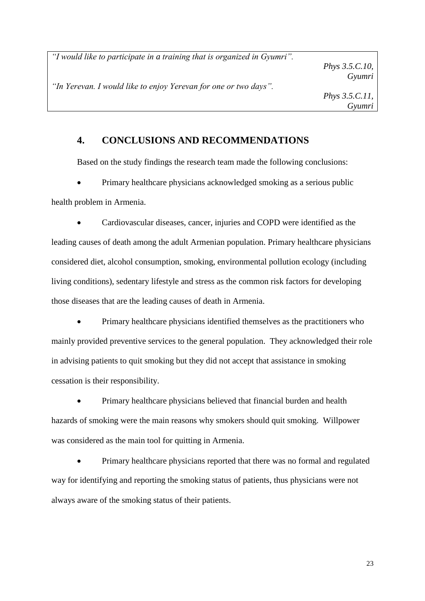*"I would like to participate in a training that is organized in Gyumri".*

*Phys 3.5.C.10, Gyumri*

*"In Yerevan. I would like to enjoy Yerevan for one or two days".*

# <span id="page-29-0"></span>**4. CONCLUSIONS AND RECOMMENDATIONS**

Based on the study findings the research team made the following conclusions:

 Primary healthcare physicians acknowledged smoking as a serious public health problem in Armenia.

 Cardiovascular diseases, cancer, injuries and COPD were identified as the leading causes of death among the adult Armenian population. Primary healthcare physicians considered diet, alcohol consumption, smoking, environmental pollution ecology (including living conditions), sedentary lifestyle and stress as the common risk factors for developing those diseases that are the leading causes of death in Armenia.

 Primary healthcare physicians identified themselves as the practitioners who mainly provided preventive services to the general population. They acknowledged their role in advising patients to quit smoking but they did not accept that assistance in smoking cessation is their responsibility.

 Primary healthcare physicians believed that financial burden and health hazards of smoking were the main reasons why smokers should quit smoking. Willpower was considered as the main tool for quitting in Armenia.

 Primary healthcare physicians reported that there was no formal and regulated way for identifying and reporting the smoking status of patients, thus physicians were not always aware of the smoking status of their patients.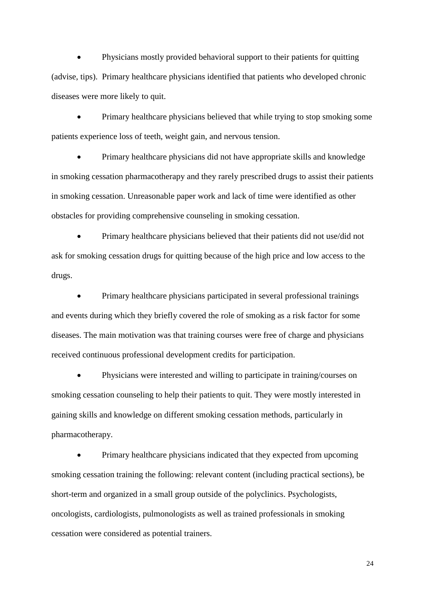Physicians mostly provided behavioral support to their patients for quitting (advise, tips). Primary healthcare physicians identified that patients who developed chronic diseases were more likely to quit.

 Primary healthcare physicians believed that while trying to stop smoking some patients experience loss of teeth, weight gain, and nervous tension.

 Primary healthcare physicians did not have appropriate skills and knowledge in smoking cessation pharmacotherapy and they rarely prescribed drugs to assist their patients in smoking cessation. Unreasonable paper work and lack of time were identified as other obstacles for providing comprehensive counseling in smoking cessation.

 Primary healthcare physicians believed that their patients did not use/did not ask for smoking cessation drugs for quitting because of the high price and low access to the drugs.

• Primary healthcare physicians participated in several professional trainings and events during which they briefly covered the role of smoking as a risk factor for some diseases. The main motivation was that training courses were free of charge and physicians received continuous professional development credits for participation.

 Physicians were interested and willing to participate in training/courses on smoking cessation counseling to help their patients to quit. They were mostly interested in gaining skills and knowledge on different smoking cessation methods, particularly in pharmacotherapy.

 Primary healthcare physicians indicated that they expected from upcoming smoking cessation training the following: relevant content (including practical sections), be short-term and organized in a small group outside of the polyclinics. Psychologists, oncologists, cardiologists, pulmonologists as well as trained professionals in smoking cessation were considered as potential trainers.

24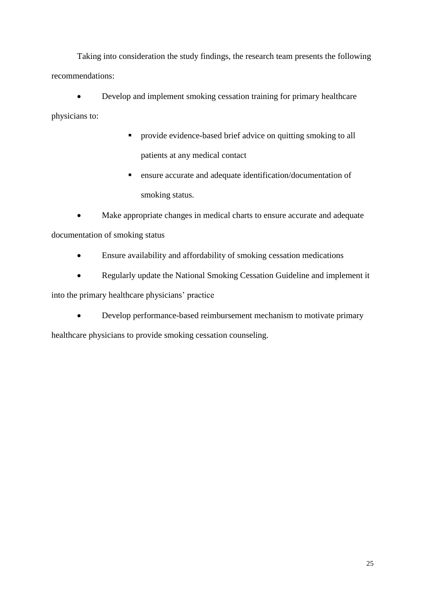Taking into consideration the study findings, the research team presents the following recommendations:

 Develop and implement smoking cessation training for primary healthcare physicians to:

- **Provide evidence-based brief advice on quitting smoking to all** patients at any medical contact
- ensure accurate and adequate identification/documentation of smoking status.

 Make appropriate changes in medical charts to ensure accurate and adequate documentation of smoking status

- Ensure availability and affordability of smoking cessation medications
- Regularly update the National Smoking Cessation Guideline and implement it

into the primary healthcare physicians' practice

Develop performance-based reimbursement mechanism to motivate primary

healthcare physicians to provide smoking cessation counseling.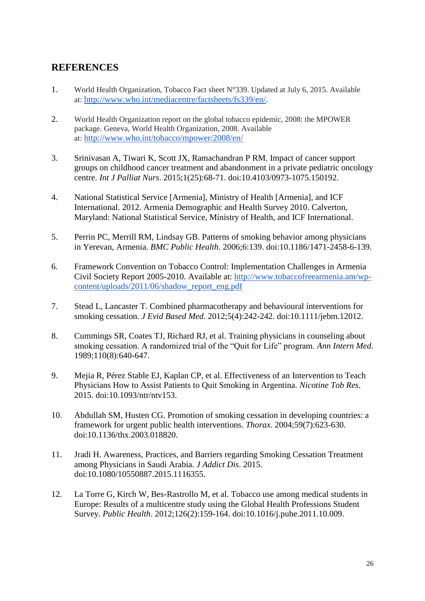# <span id="page-32-0"></span>**REFERENCES**

- 1. World Health Organization, Tobacco Fact sheet N°339. Updated at July 6, 2015. Available at: <http://www.who.int/mediacentre/factsheets/fs339/en/>.
- 2. World Health Organization report on the global tobacco epidemic, 2008: the MPOWER package. Geneva, World Health Organization, 2008. Available at: <http://www.who.int/tobacco/mpower/2008/en/>
- 3. Srinivasan A, Tiwari K, Scott JX, Ramachandran P RM. Impact of cancer support groups on childhood cancer treatment and abandonment in a private pediatric oncology centre. *Int J Palliat Nurs*. 2015;1(25):68-71. doi:10.4103/0973-1075.150192.
- 4. National Statistical Service [Armenia], Ministry of Health [Armenia], and ICF International. 2012. Armenia Demographic and Health Survey 2010. Calverton, Maryland: National Statistical Service, Ministry of Health, and ICF International.
- 5. Perrin PC, Merrill RM, Lindsay GB. Patterns of smoking behavior among physicians in Yerevan, Armenia. *BMC Public Health*. 2006;6:139. doi:10.1186/1471-2458-6-139.
- 6. Framework Convention on Tobacco Control: Implementation Challenges in Armenia Civil Society Report 2005-2010. Available at: http://www.tobaccofreearmenia.am/wpcontent/uploads/2011/06/shadow\_report\_eng.pdf
- 7. Stead L, Lancaster T. Combined pharmacotherapy and behavioural interventions for smoking cessation. *J Evid Based Med*. 2012;5(4):242-242. doi:10.1111/jebm.12012.
- 8. Cummings SR, Coates TJ, Richard RJ, et al. Training physicians in counseling about smoking cessation. A randomized trial of the "Quit for Life" program. *Ann Intern Med*. 1989;110(8):640-647.
- 9. Mejia R, Pérez Stable EJ, Kaplan CP, et al. Effectiveness of an Intervention to Teach Physicians How to Assist Patients to Quit Smoking in Argentina. *Nicotine Tob Res*. 2015. doi:10.1093/ntr/ntv153.
- 10. Abdullah SM, Husten CG. Promotion of smoking cessation in developing countries: a framework for urgent public health interventions. *Thorax*. 2004;59(7):623-630. doi:10.1136/thx.2003.018820.
- 11. Jradi H. Awareness, Practices, and Barriers regarding Smoking Cessation Treatment among Physicians in Saudi Arabia. *J Addict Dis*. 2015. doi:10.1080/10550887.2015.1116355.
- 12. La Torre G, Kirch W, Bes-Rastrollo M, et al. Tobacco use among medical students in Europe: Results of a multicentre study using the Global Health Professions Student Survey. *Public Health*. 2012;126(2):159-164. doi:10.1016/j.puhe.2011.10.009.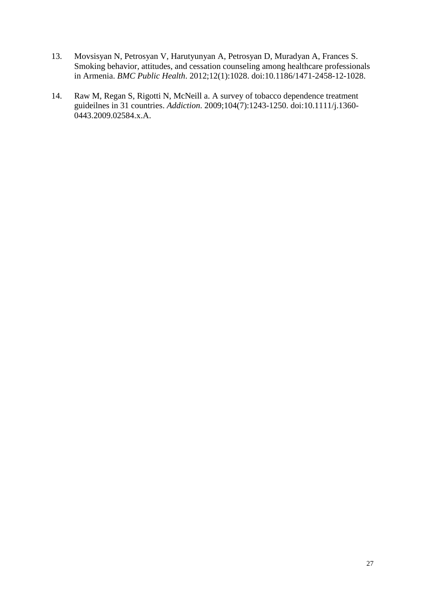- 13. Movsisyan N, Petrosyan V, Harutyunyan A, Petrosyan D, Muradyan A, Frances S. Smoking behavior, attitudes, and cessation counseling among healthcare professionals in Armenia. *BMC Public Health*. 2012;12(1):1028. doi:10.1186/1471-2458-12-1028.
- 14. Raw M, Regan S, Rigotti N, McNeill a. A survey of tobacco dependence treatment guideilnes in 31 countries. *Addiction*. 2009;104(7):1243-1250. doi:10.1111/j.1360- 0443.2009.02584.x.A.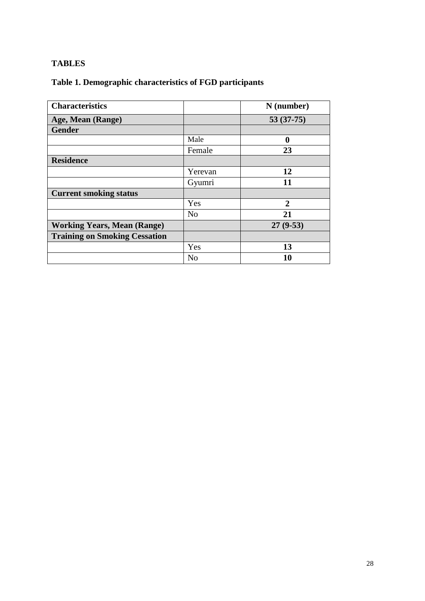# <span id="page-34-0"></span>**TABLES**

# <span id="page-34-1"></span>**Table 1. Demographic characteristics of FGD participants**

| <b>Characteristics</b>               |                | N (number)     |
|--------------------------------------|----------------|----------------|
| Age, Mean (Range)                    |                | $53(37-75)$    |
| <b>Gender</b>                        |                |                |
|                                      | Male           | 0              |
|                                      | Female         | 23             |
| <b>Residence</b>                     |                |                |
|                                      | Yerevan        | 12             |
|                                      | Gyumri         | 11             |
| <b>Current smoking status</b>        |                |                |
|                                      | Yes            | $\overline{2}$ |
|                                      | N <sub>o</sub> | 21             |
| <b>Working Years, Mean (Range)</b>   |                | $27(9-53)$     |
| <b>Training on Smoking Cessation</b> |                |                |
|                                      | Yes            | 13             |
|                                      | N <sub>o</sub> | 10             |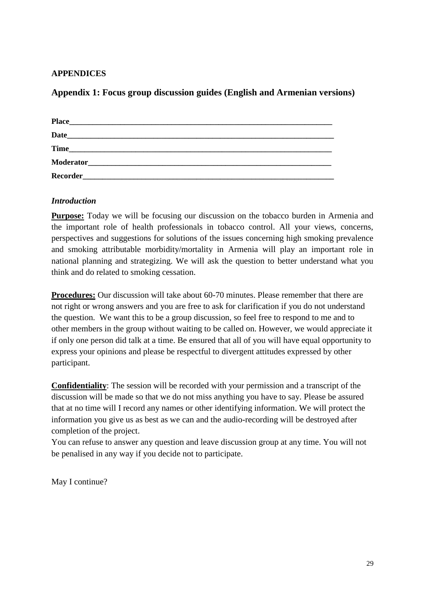### <span id="page-35-0"></span>**APPENDICES**

### <span id="page-35-1"></span>**Appendix 1: Focus group discussion guides (English and Armenian versions)**

| <b>Place</b>    |                                                           |  |  |
|-----------------|-----------------------------------------------------------|--|--|
| <b>Date</b>     | <u> 1980 - John Stone, Amerikaansk politiker († 1901)</u> |  |  |
| <b>Time</b>     | <u> 1989 - John Stein, Amerikaansk politiker († 1908)</u> |  |  |
| Moderator       | <u> 1980 - John Stein, Amerikaansk politiker (* 1950)</u> |  |  |
| <b>Recorder</b> | <u> 1989 - John Stone, Amerikaansk politiker († 1908)</u> |  |  |

### *Introduction*

**Purpose:** Today we will be focusing our discussion on the tobacco burden in Armenia and the important role of health professionals in tobacco control. All your views, concerns, perspectives and suggestions for solutions of the issues concerning high smoking prevalence and smoking attributable morbidity/mortality in Armenia will play an important role in national planning and strategizing. We will ask the question to better understand what you think and do related to smoking cessation.

**Procedures:** Our discussion will take about 60-70 minutes. Please remember that there are not right or wrong answers and you are free to ask for clarification if you do not understand the question. We want this to be a group discussion, so feel free to respond to me and to other members in the group without waiting to be called on. However, we would appreciate it if only one person did talk at a time. Be ensured that all of you will have equal opportunity to express your opinions and please be respectful to divergent attitudes expressed by other participant.

**Confidentiality**: The session will be recorded with your permission and a transcript of the discussion will be made so that we do not miss anything you have to say. Please be assured that at no time will I record any names or other identifying information. We will protect the information you give us as best as we can and the audio-recording will be destroyed after completion of the project.

You can refuse to answer any question and leave discussion group at any time. You will not be penalised in any way if you decide not to participate.

May I continue?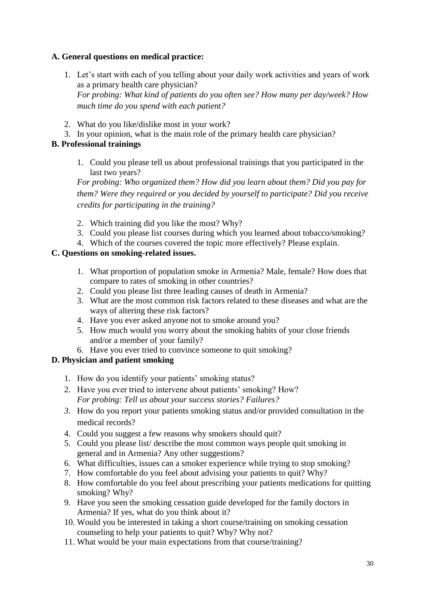### **A. General questions on medical practice:**

- 1. Let's start with each of you telling about your daily work activities and years of work as a primary health care physician? *For probing: What kind of patients do you often see? How many per day/week? How much time do you spend with each patient?*
- 2. What do you like/dislike most in your work?
- 3. In your opinion, what is the main role of the primary health care physician?

### **B. Professional trainings**

1. Could you please tell us about professional trainings that you participated in the last two years?

*For probing: Who organized them? How did you learn about them? Did you pay for them? Were they required or you decided by yourself to participate? Did you receive credits for participating in the training?*

- 2. Which training did you like the most? Why?
- 3. Could you please list courses during which you learned about tobacco/smoking?
- 4. Which of the courses covered the topic more effectively? Please explain.

### **C. Questions on smoking-related issues.**

- 1. What proportion of population smoke in Armenia? Male, female? How does that compare to rates of smoking in other countries?
- 2. Could you please list three leading causes of death in Armenia?
- 3. What are the most common risk factors related to these diseases and what are the ways of altering these risk factors?
- 4. Have you ever asked anyone not to smoke around you?
- 5. How much would you worry about the smoking habits of your close friends and/or a member of your family?
- 6. Have you ever tried to convince someone to quit smoking?

### **D. Physician and patient smoking**

- 1. How do you identify your patients' smoking status?
- 2. Have you ever tried to intervene about patients' smoking? How? *For probing: Tell us about your success stories? Failures?*
- *3.* How do you report your patients smoking status and/or provided consultation in the medical records?
- 4. Could you suggest a few reasons why smokers should quit?
- 5. Could you please list/ describe the most common ways people quit smoking in general and in Armenia? Any other suggestions?
- 6. What difficulties, issues can a smoker experience while trying to stop smoking?
- 7. How comfortable do you feel about advising your patients to quit? Why?
- 8. How comfortable do you feel about prescribing your patients medications for quitting smoking? Why?
- 9. Have you seen the smoking cessation guide developed for the family doctors in Armenia? If yes, what do you think about it?
- 10. Would you be interested in taking a short course/training on smoking cessation counseling to help your patients to quit? Why? Why not?
- 11. What would be your main expectations from that course/training?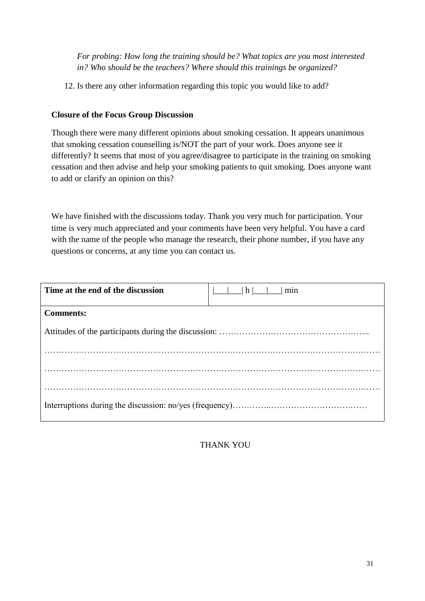*For probing: How long the training should be? What topics are you most interested in? Who should be the teachers? Where should this trainings be organized?*

12. Is there any other information regarding this topic you would like to add?

### **Closure of the Focus Group Discussion**

Though there were many different opinions about smoking cessation. It appears unanimous that smoking cessation counselling is/NOT the part of your work. Does anyone see it differently? It seems that most of you agree/disagree to participate in the training on smoking cessation and then advise and help your smoking patients to quit smoking. Does anyone want to add or clarify an opinion on this?

We have finished with the discussions today. Thank you very much for participation. Your time is very much appreciated and your comments have been very helpful. You have a card with the name of the people who manage the research, their phone number, if you have any questions or concerns, at any time you can contact us.

| Time at the end of the discussion | h <br>min |  |
|-----------------------------------|-----------|--|
| <b>Comments:</b>                  |           |  |
|                                   |           |  |
|                                   |           |  |
|                                   |           |  |
|                                   |           |  |
|                                   |           |  |

THANK YOU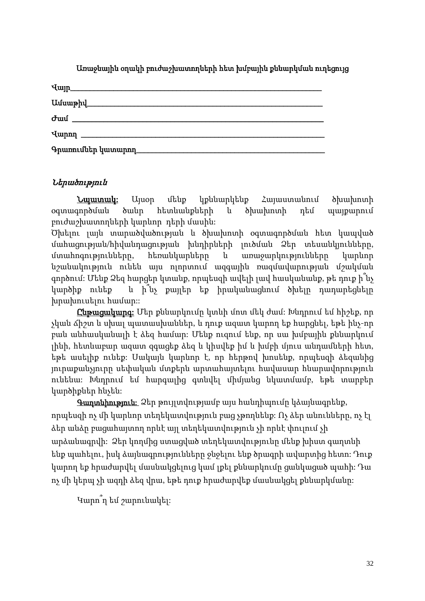| U.uluuphy          |  |
|--------------------|--|
|                    |  |
|                    |  |
| Գրառումներ կատարող |  |

Առաջնային օղակի բուժաշխատողների հետ խմբային քննարկման ուղեցույց

# Ներածություն

Նպատակ: Այսօր մենք կքննարկենք Հայաստանում ծխախոտի օգտագործման ծանր հետևանքների և ծխախոտի դեմ պայքարում բուժաշխատողների կարևոր դերի մասին:

Ծխելու լայն տարածվածության և ծխախոտի օգտագործման հետ կապված մահացության/հիվանդացության խնդիրների լուծման Ձեր տեսանկյունները, մտահոգությունները, հեռանկարները և առաջարկությունները կարևոր նշանակություն ունեն այս ոլորտում ազգային ռազմավարության մշակման գործում: Մենք Ձեզ հարցեր կտանք, որպեսզի ավելի լավ հասկանանք, թե դուք ի՞նչ կարծիք ունեք և ի՞նչ քայլեր եք իրականացնում ծխելը դադարեցնելը խրախուսելու համար::

Ընթացակարգ: Մեր քննարկումը կտևի մոտ մեկ ժամ: Խնդրում եմ հիշեք, որ չկան ճիշտ և սխալ պատասխաններ, և դուք ազատ կարող եք հարցնել, եթե ինչ-որ բան անհասկանալի է ձեզ համար: Մենք ուզում ենք, որ սա խմբային քննարկում լինի, հետևաբար ազատ զգացեք ձեզ և կիսվեք իմ և խմբի մյուս անդամների հետ, եթե ասելիք ունեք: Սակայն կարևոր է, որ հերթով խոսենք, որպեսզի ձեզանից յուրաքանչյուրը սեփական մտքերն արտահայտելու հավասար հնարավորություն ունենա: Խնդրում եմ հարգալից գտնվել միմյանց նկատմամբ, եթե տարբեր կարծիքներ հնչեն:

Գաղտնիություն: Ձեր թույլտվությամբ այս հանդիպումը կձայնագրենք, որպեսզի ոչ մի կարևոր տեղեկատվություն բաց չթողնենք: Ոչ ձեր անունները, ոչ էլ ձեր անձը բացահայտող որևէ այլ տեղեկատվություն չի որևէ փուլում չի արձանագրվի: Ձեր կողմից ստացված տեղեկատվությունը մենք խիստ գաղտնի ենք պահելու, իսկ ձայնագրությունները ջնջելու ենք ծրագրի ավարտից հետո: Դուք կարող եք հրաժարվել մասնակցելուց կամ լքել քննարկումը ցանկացած պահի: Դա ոչ մի կերպ չի ազդի ձեզ վրա, եթե դուք հրաժարվեք մասնակցել քննարկմանը:

Կարո՞ղ եմ շարունակել: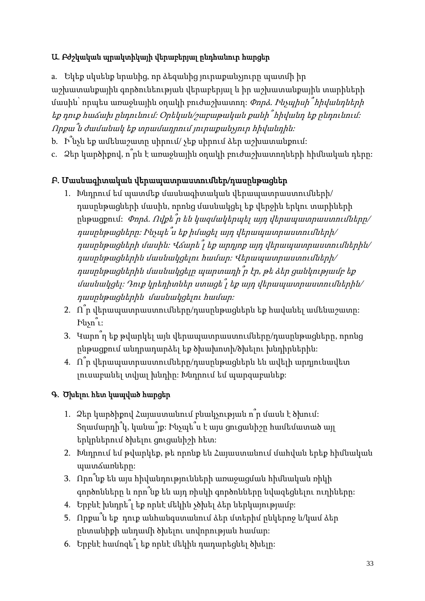# Ա. Բժշկական պրակտիկայի վերաբերյալ ընդհանուր հարցեր

a. Եկեք սկսենք նրանից, որ ձեզանից յուրաքանչյուրը պատմի իր աշխատանքային գործունեության վերաբերյալ և իր աշխատանքային տարիների մասին՝ որպես առաջնային օղակի բուժաշխատող:  $\varPhi$ որձ. Ինչպիսի  $\varphi$ իկանդների եք դուք հաճախ ընդունում: Օրեկան/շաբաթական քանի՞ հիվանդ եք ընդունում: Որքա՞ն ժամանակ եք տրամադրում յուրաքանչյուր հիվանդին:

- b. Ի՞նչն եք ամենաշատը սիրում/ չեք սիրում ձեր աշխատանքում:
- c. Ձեր կարծիքով, ո՞րն է առաջնային օղակի բուժաշխատողների հիմնական դերը:

# Բ. Մասնագիտական վերապատրաստումներ/դասընթացներ

- 1. Խնդրում եմ պատմեք մասնագիտական վերապատրաստումների/ դասընթացների մասին, որոնց մասնակցել եք վերջին երկու տարիների ընթացքում: Փորձ. Ովքե՞ր են կազմակերպել այդ վերապատրաստումները/ դասընթացները: Ինչպե՞ս եք իմացել այդ վերապատրաստումների/ դասընթացների մասին: Վճարե՞լ եք արդյոք այդ վերապատրաստումներին/ դասընթացներին մասնակցելու համար: Վերապատրաստումների/ դասընթացներին մասնակցելը պարտադի՞ր էր, թե ձեր ցանկությամբ եք մասնակցել: Դուք կրեդիտներ ստացե՞լ եք այդ վերապատրաստումներին/ դասընթացներին մասնակցելու համար:
- 2.  $\hat{\Pi}$ ր վերապատրաստումները/դասընթացներն եք հավանել ամենաշատը։ Ինչո՞ւ:
- 3. Կարո՞ղ եք թվարկել այն վերապատրաստումները/դասընթացները, որոնց ընթացքում անդրադարձել եք ծխախոտի/ծխելու խնդիրներին:
- 4. Ո՞ր վերապատրաստումները/դասընթացներն են ավելի արդյունավետ լուսաբանել տվյալ խնդիը: Խնդրում եմ պարզաբանեք:

# Գ. Ծխելու հետ կապված հարցեր

- 1. Ձեր կարծիքով Հայաստանում բնակչության ո՞ր մասն է ծխում: Տղամարդի՞կ, կանա՞յք: Ինչպե՞ս է այս ցուցանիշը համեմատած այլ երկրներում ծխելու ցուցանիշի հետ:
- 2. Խնդրում եմ թվարկեք, թե որոնք են Հայաստանում մահվան երեք հիմնական պատճառները:
- 3. Որո՞նք են այս հիվանդությունների առաջացման հիմնական ռիկի գործոնները և որո՞նք են այդ ռիսկի գործոնները նվազեցնելու ուղիները:
- 4. Երբևէ խնդրե՞լ եք որևէ մեկին չծխել ձեր ներկայությամբ:
- 5. Որքա՞ն եք դուք անհանգստանում ձեր մտերիմ ընկերոջ և/կամ ձեր ընտանիքի անդամի ծխելու սովորության համար:
- 6. Երբևէ համոզե՞լ եք որևէ մեկին դադարեցնել ծխելը: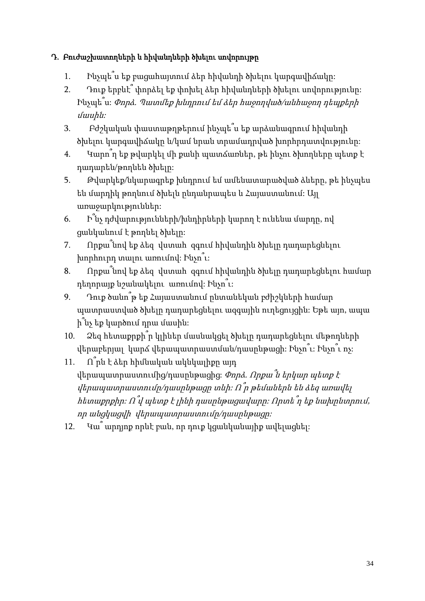# Դ. Բուժաշխատողների և հիվանդների ծխելու սովորույթը

- 1. Ինչպե՞ս եք բացահայտում ձեր հիվանդի ծխելու կարգավիճակը:
- 2. Դուք երբևէ՞ փորձել եք փոխել ձեր հիվանդների ծխելու սովորությունը: Ինչպե՞ս: Փորձ. Պատմեք խնդրում եմ ձեր հաջողված/անհաջող դեպքերի մասին:
- 3. Բժշկական փաստաթղթերում ինչպե՞ս եք արձանագրում հիվանդի ծխելու կարգավիճակը և/կամ նրան տրամադրված խորհրդատվությունը:
- 4. Կարո՞ղ եք թվարկել մի քանի պատճառներ, թե ինչու ծխողները պետք է դադարեն/թողնեն ծխելը:
- 5. Թվարկեք/նկարագրեք խնդրում եմ ամենատարածված ձևերը, թե ինչպես են մարդիկ թողնում ծխելն ընդանրապես և Հայաստանում: Այլ առաջարկություններ:
- 6. Ի՞նչ դժվարությունների/խնդիրների կարող է ունենա մարդը, ով ցանկանում է թողնել ծխելը:
- 7. Որքա՞նով եք ձեզ վստահ զգում հիվանդին ծխելը դադարեցնելու խորհուրդ տալու առումով: Ինչո՞ւ:
- 8. Որքա՞նով եք ձեզ վստահ զգում հիվանդին ծխելը դադարեցնելու համար դեղորայք նշանակելու առումով: Ինչո՞ւ:
- 9. Դուք ծանո՞թ եք Հայաստանում ընտանեկան բժիշկների համար պատրաստված ծխելը դադարեցնելու ազգային ուղեցույցին: Եթե այո, ապա ի՞նչ եք կարծում դրա մասին:
- 10. Ձեզ հետաքրքի՞ր կլիներ մասնակցել ծխելը դադարեցնելու մեթոդների վերաբերյալ կարճ վերապատրաստման/դասընթացի: Ինչո՞ւ: Ինչո՞ւ ոչ:
- 11.  $\hat{\Pi}$ րն է ձեր հիմնական ակնկալիքը այդ վերապատրաստումից/դասընթացից:  $\varPhi$ որձ. Որքա՞ն երկար պետք է  $\psi$ կերապատրաստումը/դասընթացը տևի։ Ո՞ր թեմաներն են ձեզ առավել հետաքրքիր: <sup>Ո</sup>՞վ պետք <sup>է</sup> լինի դասընթացավարը: Որտե՞ղ եք նախընտրում, որ անցկացվի վերապատրաստումը/դասընթացը:
- 12. Կա՞ արդյոք որևէ բան, որ դուք կցանկանայիք ավելացնել: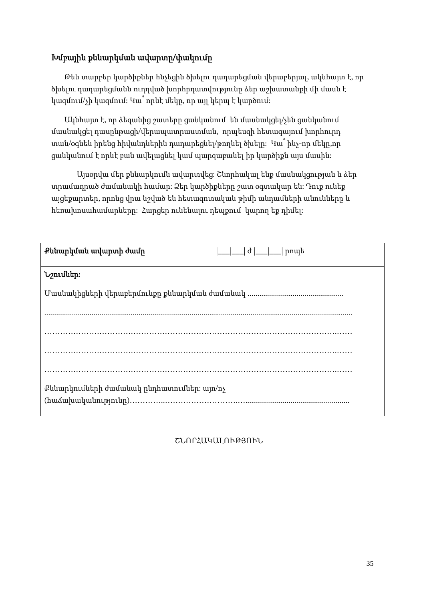# Խմբային քննարկման ավարտը/փակումը

Թեև տարբեր կարծիքներ հնչեցին ծխելու դադարեցման վերաբերյալ, ակնհայտ է, որ ծխելու դադարեցմանն ուղղված խորհրդատվությունը ձեր աշխատանքի մի մասն է կազմում/չի կազմում: Կա՞ որևէ մեկը, որ այլ կերպ է կարծում:

Ակնհայտ է, որ ձեզանից շատերը ցանկանում են մասնակցել/չեն ցանկանում մասնակցել դասընթացի/վերապատրաստման, որպեսզի հետագայում խորհուրդ տան/օգնեն իրենց հիվանդներին դադարեցնել/թողնել ծխելը: Կա՞ ինչ-որ մեկը,որ ցանկանում է որևէ բան ավելացնել կամ պարզաբանել իր կարծիքն այս մասին:

Այսօրվա մեր քննարկումն ավարտվեց: Շնորհակալ ենք մասնակցության և ձեր տրամադրած ժամանակի համար: Ձեր կարծիքները շատ օգտակար են: Դուք ունեք այցեքարտեր, որոնց վրա նշված են հետազոտական թիմի անդամների անունները և հեռախոսահամարները: Հարցեր ունենալու դեպքում կարող եք դիմել:

| Քննարկման ավարտի ժամր                      | $ \_\_\_\_\ $ d $ \_\_\_\_\ $ nnպե |  |
|--------------------------------------------|------------------------------------|--|
| Նշումներ։                                  |                                    |  |
|                                            |                                    |  |
|                                            |                                    |  |
|                                            |                                    |  |
|                                            |                                    |  |
| Քննարկումների ժամանակ ընդհատումներ։ այո/ոչ |                                    |  |

ՇՆՈՐՀԱԿԱԼՈՒԹՅՈՒՆ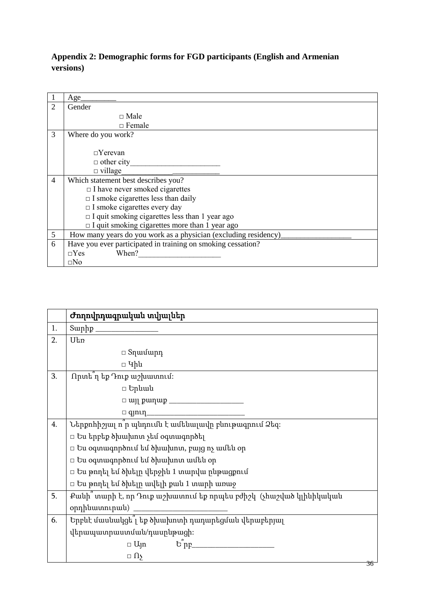# <span id="page-42-0"></span>**Appendix 2: Demographic forms for FGD participants (English and Armenian versions)**

|                | Age                                                             |
|----------------|-----------------------------------------------------------------|
| 2              | Gender                                                          |
|                | $\Box$ Male                                                     |
|                | $\Box$ Female                                                   |
| 3              | Where do you work?                                              |
|                |                                                                 |
|                | $\Box$ Yerevan                                                  |
|                | $\Box$ other city                                               |
|                | $\Box$ village                                                  |
| $\overline{4}$ | Which statement best describes you?                             |
|                | $\Box$ I have never smoked cigarettes                           |
|                | $\Box$ I smoke cigarettes less than daily                       |
|                | $\Box$ I smoke cigarettes every day                             |
|                | $\Box$ I quit smoking cigarettes less than 1 year ago           |
|                | $\Box$ I quit smoking cigarettes more than 1 year ago           |
| 5              | How many years do you work as a physician (excluding residency) |
| 6              | Have you ever participated in training on smoking cessation?    |
|                | $\Box$ Yes<br>When?                                             |
|                | $\square$ No                                                    |

|    | Ժողովրդագրական տվյալներ                                           |  |
|----|-------------------------------------------------------------------|--|
| 1. | $\text{Suphp}_1$                                                  |  |
| 2. | Utn                                                               |  |
|    | $□$ Տղամարդ                                                       |  |
|    | □ Կին                                                             |  |
| 3. | Որտե <sup>ր</sup> եք Դուք աշխատում։                               |  |
|    | □ Երևան                                                           |  |
|    |                                                                   |  |
|    | $\hfill \Box \ {\tt qjnnn} \qquad \qquad \hfill \Box$             |  |
| 4. | Ներքոհիշյալ ո ր պնդումն է ամենալավը բնութագրում Ձեզ։              |  |
|    | □ Ես երբեք ծխախոտ չեմ օգտագործել                                  |  |
|    | $\Box$ Ես օգտագործում եմ ծխախոտ, բայց ոչ ամեն օր                  |  |
|    | $\Box$ Ես օգտագործում եմ ծխախոտ ամեն օր                           |  |
|    | □ Ես թողել եմ ծխելը վերջին 1 տարվա ընթացքում                      |  |
|    | □ Ես թողել եմ ծխելը ավելի քան 1 տարի առաջ                         |  |
| 5. | Քանի՞ տարի է, որ Դուք աշխատում եք որպես բժիշկ (չհաշված կլինիկական |  |
|    | օրդինատուրան)                                                     |  |
| 6. | Երբևէ մասնակցե՞լ եք ծխախոտի դադարեցման վերաբերյալ                 |  |
|    | վերապատրաստման/դասընթացի։                                         |  |
|    | $E_{\text{p}}$<br>$\Box$ Ujn                                      |  |
|    | $\Box$ $\Omega$                                                   |  |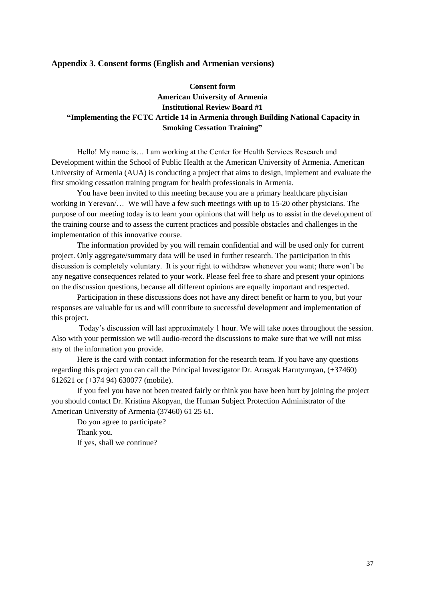#### <span id="page-43-0"></span>**Appendix 3. Consent forms (English and Armenian versions)**

### **Consent form American University of Armenia Institutional Review Board #1 "Implementing the FCTC Article 14 in Armenia through Building National Capacity in Smoking Cessation Training"**

Hello! My name is… I am working at the Center for Health Services Research and Development within the School of Public Health at the American University of Armenia. American University of Armenia (AUA) is conducting a project that aims to design, implement and evaluate the first smoking cessation training program for health professionals in Armenia.

You have been invited to this meeting because you are a primary healthcare phycisian working in Yerevan/… We will have a few such meetings with up to 15-20 other physicians. The purpose of our meeting today is to learn your opinions that will help us to assist in the development of the training course and to assess the current practices and possible obstacles and challenges in the implementation of this innovative course.

The information provided by you will remain confidential and will be used only for current project. Only aggregate/summary data will be used in further research. The participation in this discussion is completely voluntary. It is your right to withdraw whenever you want; there won't be any negative consequences related to your work. Please feel free to share and present your opinions on the discussion questions, because all different opinions are equally important and respected.

Participation in these discussions does not have any direct benefit or harm to you, but your responses are valuable for us and will contribute to successful development and implementation of this project.

Today's discussion will last approximately 1 hour. We will take notes throughout the session. Also with your permission we will audio-record the discussions to make sure that we will not miss any of the information you provide.

Here is the card with contact information for the research team. If you have any questions regarding this project you can call the Principal Investigator Dr. Arusyak Harutyunyan, (+37460) 612621 or (+374 94) 630077 (mobile).

If you feel you have not been treated fairly or think you have been hurt by joining the project you should contact Dr. Kristina Akopyan, the Human Subject Protection Administrator of the American University of Armenia (37460) 61 25 61.

Do you agree to participate? Thank you. If yes, shall we continue?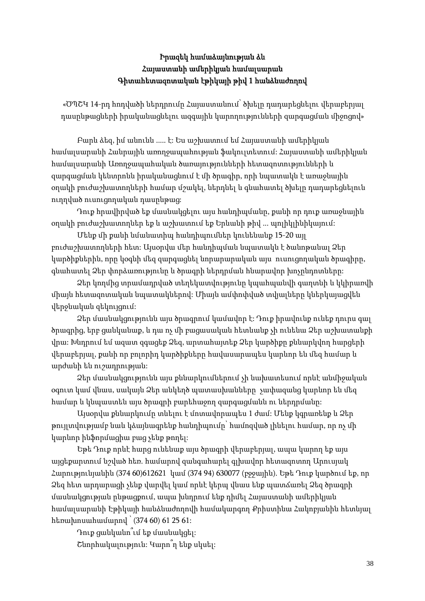# Իրազեկ համաձայնության ձև Հայաստանի ամերիկյան համալսարան Գիտահետազոտական էթիկայի թիվ 1 հանձնաժողով

«ԾՊՇԿ 14-րդ հոդվածի ներդրումը Հայաստանում՝ ծխելը դադարեցնելու վերաբերյալ դասընթացների իրականացնելու ազգային կարողությունների զարգացման միջոցով»

Բարև ձեզ, իմ անունն ..... է: Ես աշխատում եմ Հայաստանի ամերիկյան համալսարանի Հանրային առողջապահության ֆակուլտետում: Հայաստանի ամերիկյան համալսարանի Առողջապահական ծառայությունների հետազոտությունների և զարգացման կենտրոնն իրականացնում է մի ծրագիր, որի նպատակն է առաջնային օղակի բուժաշխատողների համար մշակել, ներդնել և գնահատել ծխելը դադարեցնելուն ուղղված ուսուցողական դասընթաց:

Դուք հրավիրված եք մասնակցելու այս հանդիպմանը, քանի որ դուք առաջնային օղակի բուժաշխատողներ եք և աշխատում եք Երևանի թիվ ... պոլիկլինիկայում:

Մենք մի քանի նմանատիպ հանդիպումներ կունենանք 15-20 այլ բուժաշխատողների հետ: Այսօրվա մեր հանդիպման նպատակն է ծանոթանալ Ձեր կարծիքներին, որը կօգնի մեզ զարգացնել նորարարական այս ուսուցողական ծրագիրը, գնահատել Ձեր փորձառությունը և ծրագրի ներդրման հնարավոր խոչընդոտները:

Ձեր կողմից տրամադրված տեղեկատվությունը կպահպանվի գաղտնի և կկիրառվի միայն հետազոտական նպատակներով: Միայն ամփոփված տվյալները կներկայացվեն վերջնական զեկույցում:

Ձեր մասնակցությունն այս ծրագրում կամավոր է: Դուք իրավունք ունեք դուրս գալ ծրագրից, երբ ցանկանաք, և դա ոչ մի բացասական հետևանք չի ունենա Ձեր աշխատանքի վրա: Խնդրում եմ ազատ զգացեք Ձեզ, արտահայտեք Ձեր կարծիքը քննարկվող հարցերի վերաբերյալ, քանի որ բոլորիդ կարծիքները հավասարապես կարևոր են մեզ համար և արժանի են ուշադրության:

Ձեր մասնակցությունն այս քննարկումներում չի նախատեսում որևէ անմիջական օգուտ կամ վնաս, սակայն Ձեր անկեղծ պատասխանները չափազանց կարևոր են մեզ համար և կնպաստեն այս ծրագրի բարեհաջող զարգացմանն ու ներդրմանը:

Այսօրվա քննարկումը տևելու է մոտավորապես 1 ժամ: Մենք կգրառենք և Ձեր թույլտվությամբ նաև կձայնագրենք հանդիպումը՝ համոզված լինելու համար, որ ոչ մի կարևոր ինֆորմացիա բաց չենք թողել:

Եթե Դուք որևէ հարց ունենաք այս ծրագրի վերաբերյալ, ապա կարող եք այս այցեքարտում նշված հեռ. համարով զանգահարել գլխավոր հետազոտող Արուսյակ Հարությունյանին (374 60)612621 կամ (374 94) 630077 (բջջային). Եթե Դուք կարծում եք, որ Ձեզ հետ արդարացի չենք վարվել կամ որևէ կերպ վնաս ենք պատճառել Ձեզ ծրագրի մասնակցության ընթացքում, ապա խնդրում ենք դիմել Հայաստանի ամերիկյան համալսարանի Էթիկայի հանձնաժողովի համակարգող Քրիստինա Հակոբյանին հետևյալ հեռախոսահամարով ՝ (374 60) 61 25 61:

Դուք ցանկանո՞ւմ եք մասնակցել: Շնորհակալություն: Կարո՞ղ ենք սկսել: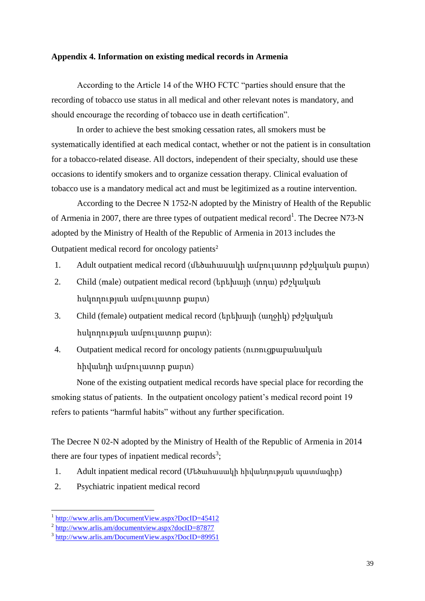#### <span id="page-45-0"></span>**Appendix 4. Information on existing medical records in Armenia**

According to the Article 14 of the WHO FCTC "parties should ensure that the recording of tobacco use status in all medical and other relevant notes is mandatory, and should encourage the recording of tobacco use in death certification".

In order to achieve the best smoking cessation rates, all smokers must be systematically identified at each medical contact, whether or not the patient is in consultation for a tobacco-related disease. All doctors, independent of their specialty, should use these occasions to identify smokers and to organize cessation therapy. Clinical evaluation of tobacco use is a mandatory medical act and must be legitimized as a routine intervention.

According to the Decree N 1752-N adopted by the Ministry of Health of the Republic of Armenia in 2007, there are three types of outpatient medical record<sup>1</sup>. The Decree N73-N adopted by the Ministry of Health of the Republic of Armenia in 2013 includes the Outpatient medical record for oncology patients<sup>2</sup>

- 1. Adult outpatient medical record (մեծահասակի ամբուլատոր բժշկական քարտ)
- 2. Child (male) outpatient medical record (երեխայի (տղա) բժշկական հսկողության ամբուլատոր քարտ)
- 3. Child (female) outpatient medical record (երեխայի (աղջիկ) բժշկական հսկողության ամբուլատոր քարտ):
- 4. Outpatient medical record for oncology patients (ուռուցքաբանական հիվանդի ամբուլատոր քարտ)

None of the existing outpatient medical records have special place for recording the smoking status of patients. In the outpatient oncology patient's medical record point 19 refers to patients "harmful habits" without any further specification.

The Decree N 02-N adopted by the Ministry of Health of the Republic of Armenia in 2014 there are four types of inpatient medical records<sup>3</sup>;

- 1. Adult inpatient medical record (Մեծահասակի հիվանդության պատմագիր)
- 2. Psychiatric inpatient medical record

<sup>1</sup> <http://www.arlis.am/DocumentView.aspx?DocID=45412>

<sup>&</sup>lt;sup>2</sup> <http://www.arlis.am/documentview.aspx?docID=87877>

<sup>&</sup>lt;sup>3</sup> <http://www.arlis.am/DocumentView.aspx?DocID=89951>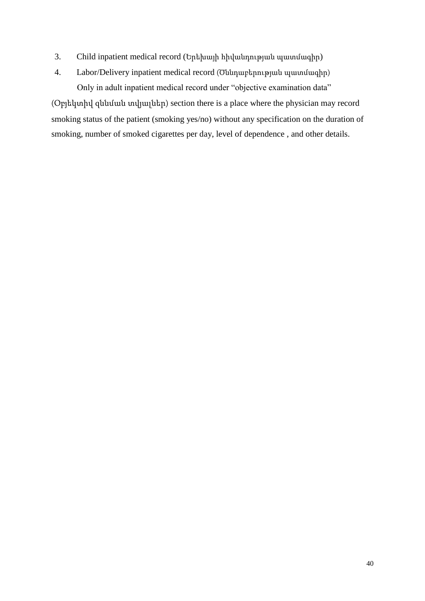- 3. Child inpatient medical record (Երեխայի հիվանդության պատմագիր)
- 4. Labor/Delivery inpatient medical record (Ծննդաբերության պատմագիր) Only in adult inpatient medical record under "objective examination data"

(Օբյեկտիվ զննման տվյալներ) section there is a place where the physician may record smoking status of the patient (smoking yes/no) without any specification on the duration of smoking, number of smoked cigarettes per day, level of dependence , and other details.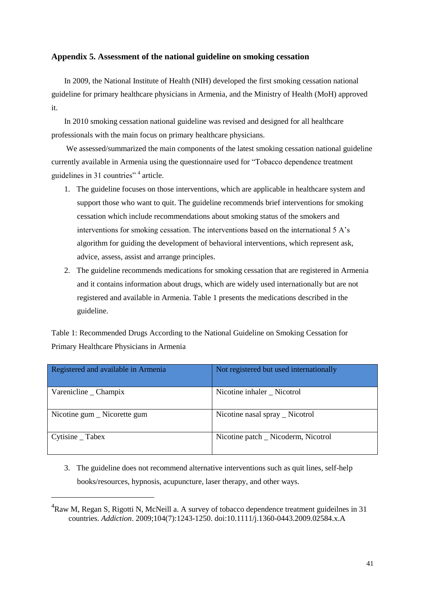#### <span id="page-47-0"></span>**Appendix 5. Assessment of the national guideline on smoking cessation**

In 2009, the National Institute of Health (NIH) developed the first smoking cessation national guideline for primary healthcare physicians in Armenia, and the Ministry of Health (MoH) approved it.

In 2010 smoking cessation national guideline was revised and designed for all healthcare professionals with the main focus on primary healthcare physicians.

We assessed/summarized the main components of the latest smoking cessation national guideline currently available in Armenia using the questionnaire used for "Tobacco dependence treatment guidelines in 31 countries"<sup>4</sup> article.

- 1. The guideline focuses on those interventions, which are applicable in healthcare system and support those who want to quit. The guideline recommends brief interventions for smoking cessation which include recommendations about smoking status of the smokers and interventions for smoking cessation. The interventions based on the international 5 A's algorithm for guiding the development of behavioral interventions, which represent ask, advice, assess, assist and arrange principles.
- 2. The guideline recommends medications for smoking cessation that are registered in Armenia and it contains information about drugs, which are widely used internationally but are not registered and available in Armenia. Table 1 presents the medications described in the guideline.

Table 1: Recommended Drugs According to the National Guideline on Smoking Cessation for Primary Healthcare Physicians in Armenia

| Registered and available in Armenia | Not registered but used internationally |
|-------------------------------------|-----------------------------------------|
| Varenicline _ Champix               | Nicotine inhaler _ Nicotrol             |
| Nicotine gum _ Nicorette gum        | Nicotine nasal spray _ Nicotrol         |
| $Cytisine$ $\_$ Tabex               | Nicotine patch _ Nicoderm, Nicotrol     |

3. The guideline does not recommend alternative interventions such as quit lines, self-help books/resources, hypnosis, acupuncture, laser therapy, and other ways.

-

<sup>&</sup>lt;sup>4</sup>Raw M, Regan S, Rigotti N, McNeill a. A survey of tobacco dependence treatment guideilnes in 31 countries. *Addiction*. 2009;104(7):1243-1250. doi:10.1111/j.1360-0443.2009.02584.x.A